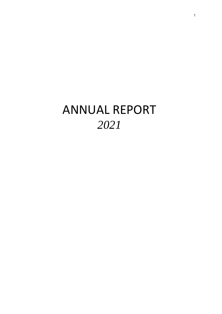# ANNUAL REPORT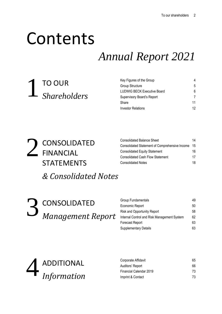# Contents

# *Annual Report 2021*

TO OUR *Shareholders* 1

| Key Figures of the Group    | 4  |
|-----------------------------|----|
| Group Structure             | 5  |
| LUDWIG BECK Executive Board | 6  |
| Supervisory Board's Report  | 7  |
| Share                       | 11 |
| Investor Relations          | 12 |

CONSOLIDATED FINANCIAL STATEMENTS *& Consolidated Notes* 2

| <b>Consolidated Balance Sheet</b>              | 14 |
|------------------------------------------------|----|
| Consolidated Statement of Comprehensive Income | 15 |
| <b>Consolidated Equity Statement</b>           | 16 |
| <b>Consolidated Cash Flow Statement</b>        | 17 |
| <b>Consolidated Notes</b>                      | 18 |

CONSOLIDATED *Management Report* 3

| Group Fundamentals                          | 49 |
|---------------------------------------------|----|
| Economic Report                             | 50 |
| <b>Risk and Opportunity Report</b>          | 58 |
| Internal Control and Risk Management System | 62 |
| <b>Forecast Report</b>                      | 63 |
| <b>Supplementary Details</b>                | 63 |



| Corporate Affidavit     | 65 |
|-------------------------|----|
| Auditors' Report        | 66 |
| Financial Calendar 2019 | 73 |
| Imprint & Contact       | 73 |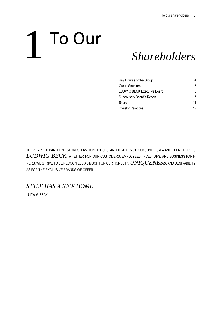# To Our 1

## *Shareholders*

| Key Figures of the Group    | 4  |
|-----------------------------|----|
| Group Structure             | 5  |
| LUDWIG BECK Executive Board | 6  |
| Supervisory Board's Report  |    |
| Share                       | 11 |
| Investor Relations          | 12 |

THERE ARE DEPARTMENT STORES, FASHION HOUSES, AND TEMPLES OF CONSUMERISM – AND THEN THERE IS *LUDWIG BECK*. WHETHER FOR OUR CUSTOMERS, EMPLOYEES, INVESTORS, AND BUSINESS PART-NERS, WE STRIVE TO BE RECOGNIZED AS MUCH FOR OUR HONESTY, *UNIQUENESS*, AND DESIRABILITY AS FOR THE EXCLUSIVE BRANDS WE OFFER.

*STYLE HAS A NEW HOME.*

LUDWIG BECK.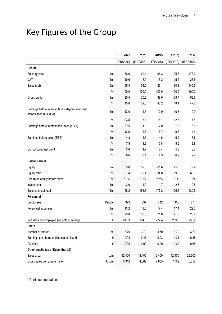## Key Figures of the Group

|                                                                             |               | 2021       | 2020       | 2019*)     | 2018*)     | 2017       |
|-----------------------------------------------------------------------------|---------------|------------|------------|------------|------------|------------|
|                                                                             |               | (IFRS/IAS) | (IFRS/IAS) | (IFRS/IAS) | (IFRS/IAS) | (IFRS/IAS) |
| Result                                                                      |               |            |            |            |            |            |
| Sales (gross)                                                               | €m            | 66.0       | 60.4       | 95.3       | 95.5       | 173.2      |
| VAT                                                                         | €m            | 10.6       | 8.9        | 15.2       | 15.2       | 27.6       |
| Sales (net)                                                                 | €m            | 55.4       | 51.5       | 80.1       | 80.3       | 145.6      |
|                                                                             | $\%$          | 100.0      | 100.0      | 100.0      | 100.0      | 100.0      |
| Gross profit                                                                | €m            | 25.4       | 20.5       | 38.6       | 38.7       | 69.6       |
|                                                                             | $\%$          | 45.8       | 39.8       | 48.2       | 48.1       | 47.8       |
| Earnings before interest, taxes, depreciation, and<br>amortization (EBITDA) | €m            | 13.0       | 4.3        | 12.9       | 10.3       | 10.9       |
|                                                                             | $\%$          | 23.5       | 8.4        | 16.1       | 12.8       | 7.5        |
| Earnings before interest and taxes (EBIT)                                   | €m            | 6.69       | $-1.9$     | 7.0        | 7.6        | 6.5        |
|                                                                             | $\frac{0}{0}$ | 12.0       | $-3.6$     | 8.7        | 9.5        | 4.4        |
| Earnings before taxes (EBT)                                                 | €m            | 4.3        | $-4.3$     | 4.6        | 6.9        | 5.6        |
|                                                                             | $\frac{0}{0}$ | 7.8        | $-8.3$     | 5.8        | 8.5        | 3.8        |
| Consolidated net profit                                                     | €m            | 3.6        | $-1.7$     | 3.4        | $5.0\,$    | 3.3        |
|                                                                             | $\%$          | 6.6        | $-3.4$     | 4.3        | 6.2        | 2.2        |
| <b>Balance sheet</b>                                                        |               |            |            |            |            |            |
| Equity                                                                      | €m            | 63.0       | 59.6       | 61.6       | 75.8       | 79.4       |
| Equity ratio                                                                | $\%$          | 37.4       | 32.4       | 34.8       | 59.9       | 60.8       |
| Return on equity before taxes                                               | $\%$          | 6.9%       | $-7.1%$    | 7.5%       | 9.1%       | 7.0%       |
| Investments                                                                 | €m            | 3.0        | 4.9        | 1.7        | 2.5        | 2.5        |
| Balance sheet total                                                         | €m            | 168.2      | 183.8      | 177.2      | 126.5      | 130.5      |
| Personnel                                                                   |               |            |            |            |            |            |
| Employees                                                                   | People        | 373        | 397        | 442        | 455        | 874        |
| Personnel expenses                                                          | €m            | 13.2       | 13.5       | 17.4       | 17.4       | 29.3       |
|                                                                             | $\%$          | 23.8       | 26.3       | 21.8       | 21.6       | 20.2       |
| Net sales per employee (weighted, average)                                  | €k            | 217.3      | 194.3      | 272.4      | 259.9      | 253.2      |
| <b>Share</b>                                                                |               |            |            |            |            |            |
| Number of shares                                                            | m.            | 3.70       | 3.70       | 3.70       | 3.70       | 3.70       |
| Earnings per share undiluted and diluted                                    | €             | 0.98       | $-0.47$    | 0.93       | 1.34       | 0.88       |
| Dividend                                                                    | €             | 0.00       | 0.00       | 0.00       | 0.00       | 0.65       |
| Other details (as of December 31)                                           |               |            |            |            |            |            |
| Sales area                                                                  | sqm           | 12,400     | 12,400     | 12,400     | 12,400     | 28,600     |
| Gross sales per square meter                                                | €/sqm         | 5,312      | 4,862      | 7,685      | 7,702      | 6,056      |
|                                                                             |               |            |            |            |            |            |

\*) Continued operations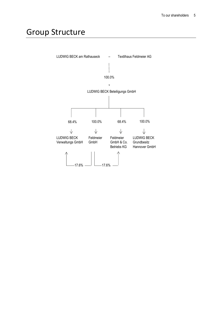### Group Structure

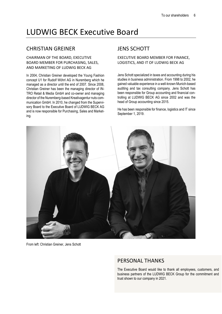### LUDWIG BECK Executive Board

#### CHRISTIAN GREINER

#### CHAIRMAN OF THE BOARD, EXECUTIVE BOARD MEMBER FOR PURCHASING, SALES, AND MARKETING OF LUDWIG BECK AG

In 2004, Christian Greiner developed the Young Fashion concept U1 for Rudolf Wöhrl AG in Nuremberg which he managed as a director until the end of 2007. Since 2008, Christian Greiner has been the managing director of IN-TRO Retail & Media GmbH and co-owner and managing director of the Nuremberg-based Kreativagentur nuts communication GmbH. In 2010, he changed from the Supervisory Board to the Executive Board of LUDWIG BECK AG and is now responsible for Purchasing, Sales and Marketing.

#### JENS SCHOTT

#### EXECUTIVE BOARD MEMBER FOR FINANCE, LOGISTICS, AND IT OF LUDWIG BECK AG

Jens Schott specialized in taxes and accounting during his studies in business administration. From 1998 to 2002, he gained valuable experience in a well-known Munich-based auditing and tax consulting company. Jens Schott has been responsible for Group accounting and financial controlling at LUDWIG BECK AG since 2002 and was the head of Group accounting since 2015.

He has been responsible for finance, logistics and IT since September 1, 2019.



From left: Christian Greiner, Jens Schott

#### PERSONAL THANKS

The Executive Board would like to thank all employees, customers, and business partners of the LUDWIG BECK Group for the commitment and trust shown to our company in 2021.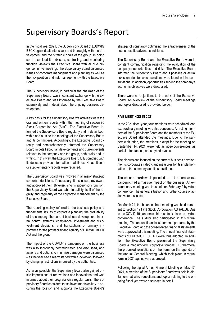### Supervisory Boards's Report

In the fiscal year 2021, the Supervisory Board of LUDWIG BECK again dealt intensively and thoroughly with the development and the strategic goals of the group. In doing so, it exercised its advisory, controlling, and monitoring function vis-à-vis the Executive Board with all due diligence. In five meetings, the Supervisory Board discussed issues of corporate management and planning as well as the risk position and risk management with the Executive Board.

The Supervisory Board, in particular the chairman of the Supervisory Board, was in constant exchange with the Executive Board and was informed by the Executive Board extensively and in detail about the ongoing business development.

A key basis for the Supervisory Board's activities were the oral and written reports within the meaning of section 90 Stock Corporation Act (AktG). The Executive Board informed the Supervisory Board regularly and in detail both within and outside the meetings of the Supervisory Board and its committees. Accordingly, the Executive Board directly and comprehensively informed the Supervisory Board in detail about all developments and current events relevant to the company and the group, both orally and in writing. In this way, the Executive Board fully complied with its duties to provide information at all times. No additional or supplementary reports were required.

The Supervisory Board was involved in all major strategic corporate decisions. If necessary, it discussed, reviewed, and approved them. By exercising its supervisory function, the Supervisory Board was able to satisfy itself of the legality and regularity of the corporate management by the Executive Board.

The reporting mainly referred to the business policy and fundamental issues of corporate planning, the profitability of the company, the current business development, internal control systems, compliance, investment and disinvestment decisions, and transactions of primary importance for the profitability and liquidity of LUDWIG BECK AG and the group.

The impact of the COVID-19 pandemic on the business was also thoroughly communicated and discussed, and actions and options to minimise damages were discussed – as the year had already started with a lockdown, followed by changing restrictions imposed by the authorities.

As far as possible, the Supervisory Board also gained onsite impressions of renovations and innovations and was informed about their progress on a regular basis. The Supervisory Board considers these investments as key to securing the location and supports the Executive Board's

strategy of constantly optimising the attractiveness of the house despite adverse conditions.

The Supervisory Board and the Executive Board were in constant communication regarding the evaluation of the company's opportunities and risks. The Executive Board informed the Supervisory Board about possible or actual risk scenarios for which solutions were found in joint consultations. In addition, opportunities serving the company's economic objectives were discussed.

There were no objections to the work of the Executive Board. An overview of the Supervisory Board meetings and topics discussed is provided below:

#### **FIVE MEETINGS IN 2021**

In the 2021 fiscal year, four meetings were scheduled, one extraordinary meeting was also convened. All acting members of the Supervisory Board and the members of the Executive Board attended the meetings. Due to the pandemic situation, the meetings, except for the meeting on September 14, 2021, were held as video conferences, as partial attendances, or as hybrid events.

The discussions focused on the current business developments, corporate strategy, and measures for its implementation in the company and its subsidiaries.

The second lockdown imposed due to the coronavirus pandemic had a massive impact on the business. An extraordinary meeting was thus held on February 2 by video conference. The general situation and further course of action were discussed.

On March 24, the balance sheet meeting was held pursuant to section 171 (1) Stock Corporation Act (AktG). Due to the COVID-19 pandemic, this also took place as a video conference. The auditor also participated in this virtual meeting. The annual financial statements prepared by the Executive Board and the consolidated financial statements were approved at this meeting. The annual financial statements of LUDWIG BECK AG were thus adopted. In addition, the Executive Board presented the Supervisory Board a medium-term corporate forecast. Furthermore, the proposed resolutions on the items on the agenda of the Annual General Meeting, which took place in virtual form in 2021 again, were approved.

Following the digital Annual General Meeting on May 17, 2021, a meeting of the Supervisory Board was held in digital form, at which questions and topics relating to the ongoing fiscal year were discussed in detail.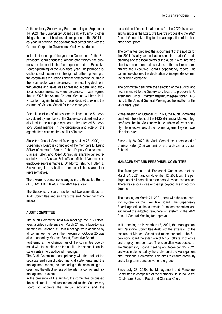At the ordinary Supervisory Board meeting on September 14, 2021, the Supervisory Board dealt with, among other things, the current business development of the 2021 fiscal year. In addition, the declaration of compliance with the German Corporate Governance Code was adopted.

In the last meeting of the year, on December 15, the Supervisory Board discussed, among other things, the business development in the fourth quarter and the Executive Board's planning for the 2022 fiscal year. The planned precautions and measures in the light of further tightening of the coronavirus regulations and the forthcoming 2G rule in the retail sector were discussed. The resulting decline in frequencies and sales was addressed in detail and additional countermeasures were discussed. It was agreed that in 2022 the Annual General Meeting will be held in virtual form again. In addition, it was decided to extend the contract of Mr Jens Schott for three more years.

Potential conflicts of interest are disclosed to the Supervisory Board by members of the Supervisory Board and usually lead to the non-participation of the affected Supervisory Board member in the discussion and vote on the agenda item causing the conflict of interest.

Since the Annual General Meeting on July 28, 2020, the Supervisory Board is composed of the members Dr Bruno Sälzer (Chairman), Sandra Pabst (Deputy Chairwoman), Clarissa Käfer, and Josef Schmid as shareholder representatives and Michael Eckhoff and Michael Neumaier as employee representatives. Dr Moritz Frhr. v. Hutten z. Stolzenberg is a substitute member of the shareholder representatives.

There were no personnel changes in the Executive Board of LUDWIG BECK AG in the 2021 fiscal year.

The Supervisory Board has formed two committees, an Audit Committee and an Executive and Personnel Committee.

#### **AUDIT COMMITTEE**

The Audit Committee held two meetings the 2021 fiscal year, a video conference on March 24 and a face-to-face meeting on October 25. Both meetings were attended by all committee members; the meeting on October 25 was also attended by Mr Jens Schott, Executive Board.

Furthermore, the chairwoman of the committee coordinated with the auditors on the audit of the annual financial statements in two additional meetings.

The Audit Committee dealt primarily with the audit of the separate and consolidated financial statements and the management report, the monitoring of the accounting process, and the effectiveness of the internal control and risk management systems.

In the presence of the auditor, the committee discussed the audit results and recommended to the Supervisory Board to approve the annual accounts and the

consolidated financial statements for the 2020 fiscal year and to endorse the Executive Board's proposal to the 2021 Annual General Meeting for the appropriation of the balance sheet profit.

The committee prepared the appointment of the auditor for the 2021 fiscal year and addressed the auditor's audit planning and the focal points of the audit. It was informed about so-called non-audit services of the auditor and examined the Executive Board's dependency report. The committee obtained the declaration of independence from the auditing company.

The committee dealt with the selection of the auditor and recommended to the Supervisory Board to propose BTU Treuhand GmbH, Wirtschaftsprüfungsgesellschaft, Munich, to the Annual General Meeting as the auditor for the 2021 fiscal year.

At the meeting on October 25, 2021, the Audit Committee dealt with the effects of the FISG (Financial Market Integrity Strengthening Act) and with the subject of cyber security. The effectiveness of the risk management system was also discussed.

Since July 28, 2020, the Audit Committee is composed of Clarissa Käfer (Chairwoman), Dr Bruno Sälzer, and Josef **Schmid.** 

#### **MANAGEMENT AND PERSONNEL COMMITTEE**

The Management and Personnel Committee met on March 24, 2021, and on November 12, 2021, with the participation of all committee members via video conference. There was also a close exchange beyond this video conference.

The meeting on March 24, 2021, dealt with the remuneration system for the Executive Board. The Supervisory Board agreed to the committee's recommendation and submitted the adopted remuneration system to the 2021 Annual General Meeting for approval.

In its meeting on November 12, 2021, the Management and Personnel Committee dealt with the extension of the contract of Mr Jens Schott and recommended to the Supervisory Board the extension of Mr Schott's term of office and employment contract. The resolution was passed at the Supervisory Board meeting on December 15, 2021, and was implemented by the chairman of the Management and Personnel Committee. This aims to ensure continuity and a long-term perspective for the group.

Since July 28, 2020, the Management and Personnel Committee is composed of the members Dr Bruno Sälzer (Chairman), Sandra Pabst and Clarissa Käfer.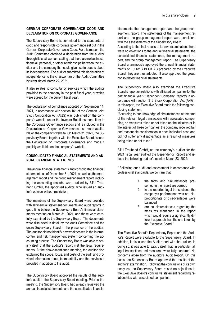#### **GERMAN CORPORATE GOVERNANCE CODE AND DECLARATION ON CORPORATE GOVERNANCE**

The Supervisory Board is committed to the standards of good and responsible corporate governance set out in the German Corporate Governance Code. For this reason, the Audit Committee obtained a declaration from the auditor through its chairwoman, stating that there are no business, financial, personal, or other relationships between the auditor and the company that could give rise to doubts about its independence. The auditor submitted this declaration of independence to the chairwoman of the Audit Committee by letter dated March 22, 2021.

It also relates to consultancy services which the auditor provided to the company in the past fiscal year, or which were agreed for the current fiscal year.

The declaration of compliance adopted on September 14, 2021, in accordance with section 161 of the German Joint Stock Corporation Act (AktG) was published on the company's website under the Investor Relations menu item in the Corporate Governance section and is included in the Declaration on Corporate Governance also made available on the company's website. On March 31, 2022, the Supervisory Board, together with the Executive Board, issued the Declaration on Corporate Governance and made it publicly available on the company's website.

#### **CONSOLIDATED FINANCIAL STATEMENTS AND AN-NUAL FINANCIAL STATEMENTS**

The annual financial statements and consolidated financial statements as of December 31, 2021, as well as the management report and the group management report, including the accounting records, were audited by BTU Treuhand GmbH, the appointed auditor, who issued an auditor's opinion without restriction.

The members of the Supervisory Board were provided with all financial statement documents and audit reports in good time before the Supervisory Board's financial statements meeting on March 31, 2021, and these were carefully examined by the Supervisory Board. The documents were discussed in detail by the Audit Committee and the entire Supervisory Board in the presence of the auditor. The auditor did not identify any weaknesses in the internal control and risk management system concerning the accounting process. The Supervisory Board was able to satisfy itself that the auditor's report met the legal requirements. At the above-mentioned meeting, the auditor also explained the scope, focus, and costs of the audit and provided information about its impartiality and the services it provided in addition to the audit.

The Supervisory Board approved the results of the auditor's audit at the Supervisory Board meeting. Prior to the meeting, the Supervisory Board had already reviewed the annual financial statements and the consolidated financial

statements, the management report, and the group management report. The statements of the management report and the group management report were consistent with the assessments of the Supervisory Board.

According to the final results of its own examination, there were no objections to the annual financial statements, the consolidated financial statements, the management report, and the group management report. The Supervisory Board unanimously approved the annual financial statements of LUDWIG BECK AG prepared by the Executive Board; they are thus adopted. It also approved the group consolidated financial statements.

The Supervisory Board also examined the Executive Board's report on relations with affiliated companies for the past financial year ("Dependent Company Report") in accordance with section 312 Stock Corporation Act (AktG). In this report, the Executive Board made the following concluding statement:

"According to our knowledge of circumstances at the time of the relevant legal transactions with associated companies, or measures taken or not taken on the initiative or in the interest of these companies, the company received fair and reasonable consideration in each individual case and did not suffer any disadvantage as a result of measures being taken or not taken."

BTU Treuhand GmbH, as the company's auditor for the 2021 fiscal year audited the Dependency Report and issued the following auditor's opinion March 23, 2022:

" Following our audit and assessment in accordance with professional standards, we confirm that:

- 1. the facts and circumstances presented in the report are correct,
- 2. in the reported legal transactions, the company's performance was not disproportionate or disadvantages were balanced,
- 3. are no circumstances regarding the measures mentioned in the report which would require a significantly different approach than the one taken by the Executive Board."

The Executive Board's Dependency Report and the Auditor's Report were available to the Supervisory Board. In addition, it discussed the Audit report with the auditor. In doing so, it was able to satisfy itself that, in particular, all legal transactions and measures were fully captured. No concerns arose from the auditor's Audit Report. On this basis, the Supervisory Board approved the results of the auditors' examination. Following the conclusions of its own analyses, the Supervisory Board raised no objections to the Executive Board's conclusive statement regarding relationships with associated companies.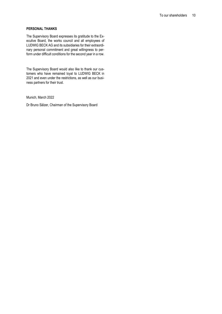#### **PERSONAL THANKS**

The Supervisory Board expresses its gratitude to the Executive Board, the works council and all employees of LUDWIG BECK AG and its subsidiaries for their extraordinary personal commitment and great willingness to perform under difficult conditions for the second year in a row.

The Supervisory Board would also like to thank our customers who have remained loyal to LUDWIG BECK in 2021 and even under the restrictions, as well as our business partners for their trust.

Munich, March 2022

Dr Bruno Sälzer, Chairman of the Supervisory Board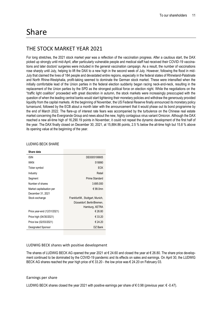#### THE STOCK MARKET YEAR 2021

For long stretches, the 2021 stock market year was a reflection of the vaccination progress. After a cautious start, the DAX picked up strongly until mid-April, after particularly vulnerable people and medical staff had received their COVID-19 vaccinations and later doctors' surgeries were included in the general vaccination campaign. As a result, the number of vaccinations rose sharply until July, helping to lift the DAX to a new high in the second week of July. However, following the flood in mid-July that claimed the lives of 184 people and devastated entire regions, especially in the federal states of Rhineland-Palatinate and North Rhine-Westphalia, profit-taking seemed to dominate the German stock market. These were intensified when the initially comfortable lead of the Union parties in the federal election suddenly began racing neck-and-neck, resulting in the replacement of the Union parties by the SPD as the strongest political force on election night. While the negotiations on the "traffic light coalition" proceeded with great discretion in autumn, the stock markets were increasingly preoccupied with the question of when the leading central banks would start tightening their monetary policies and withdraw the generously provided liquidity from the capital markets. At the beginning of November, the US Federal Reserve finally announced its monetary policy turnaround, followed by the ECB about a month later with the announcement that it would phase out its bond programme by the end of March 2022. The flare-up of interest rate fears was accompanied by the turbulence on the Chinese real estate market concerning the Evergrande Group and news about the new, highly contagious virus variant Omicron. Although the DAX reached a new all-time high of 16,290.19 points in November, it could not repeat the dynamic development of the first half of the year. The DAX finally closed on December 30, 2021, at 15,884.86 points, 2.5 % below the all-time high but 15.8 % above its opening value at the beginning of the year.

| Share data                  |                                  |
|-----------------------------|----------------------------------|
| <b>ISIN</b>                 | DE0005199905                     |
| <b>WKN</b>                  | 519990                           |
| Ticker symbol               | <b>ECK</b>                       |
| Industry                    | Retail                           |
| Segment                     | Prime Standard                   |
| Number of shares            | 3.695.000                        |
| Market capitalisation per   | € 99.0mn                         |
| December 31, 2021           |                                  |
| Stock exchange              | Frankfurt/M., Stuttgart, Munich, |
|                             | Düsseldorf, Berlin/Bremen,       |
|                             | Hamburg, XETRA                   |
| Price year-end (12/31/2021) | € 26.80                          |
| Price high (04/30/2021)     | € 33.20                          |
| Price low (02/03/2021)      | € 24.20                          |
| Designated Sponsor          | DZ Bank                          |
|                             |                                  |

#### LUDWIG BECK SHARE

#### LUDWIG BECK shares with positive development

The shares of LUDWIG BECK AG opened the year 2021 at € 24.60 and closed the year at € 26.80. The share price development continued to be dominated by the COVID-19 pandemic and its effects on sales and earnings. On April 30, the LUDWIG BECK AG shares reached the year high price of € 33.20 - the low price was € 24.20 on February 03.

#### Earnings per share

LUDWIG BECK shares closed the year 2021 with positive earnings per share of € 0.98 (previous year: € -0.47).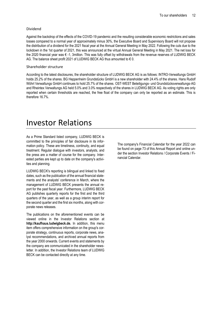#### Dividend

Against the backdrop of the effects of the COVID-19 pandemic and the resulting considerable economic restrictions and sales losses compared to a normal year of approximately minus 30%, the Executive Board and Supervisory Board will not propose the distribution of a dividend for the 2021 fiscal year at the Annual General Meeting in May 2022. Following the cuts due to the lockdown in the 1st quarter of 2021, this was announced at the virtual Annual General Meeting in May 2021. The net loss for the 2020 financial year was € -1, 3million. This was fully offset by withdrawals from the revenue reserves of LUDWIG BECK AG. The balance sheet profit 2021 of LUDWIG BECK AG thus amounted to € 0.

#### Shareholder structure

According to the latest disclosures, the shareholder structure of LUDWIG BECK AG is as follows: INTRO-Verwaltungs GmbH holds 25.2% of the shares. BG Heppenheim Grundstücks GmbH is a new shareholder with 24.4% of the shares. Hans Rudolf Wöhrl Verwaltungs GmbH continues to hold 25.7% of the shares. OST-WEST Beteiligungs- und Grundstücksverwaltungs-AG and Rheintex Verwaltungs AG held 5.0% and 3.0% respectively of the shares in LUDWIG BECK AG. As voting rights are only reported when certain thresholds are reached, the free float of the company can only be reported as an estimate. This is therefore 16.7%.

### Investor Relations

As a Prime Standard listed company, LUDWIG BECK is committed to the principles of fair disclosure in its information policy. These are timeliness, continuity, and equal treatment. Regular dialogue with investors, analysts, and the press are a matter of course for the company. Interested parties are kept up to date on the company's activities and planning.

LUDWIG BECK's reporting is bilingual and linked to fixed dates, such as the publication of the annual financial statements and the analysts' conference in March, where the management of LUDWIG BECK presents the annual report for the past fiscal year. Furthermore, LUDWIG BECK AG publishes quarterly reports for the first and the third quarters of the year, as well as a group interim report for the second quarter and the first six months, along with corporate news releases.

The publications on the aforementioned events can be viewed online in the Investor Relations section at **http://kaufhaus.ludwigbeck.de.** In addition, this menu item offers comprehensive information on the group's corporate strategy, continuous reports, corporate news, analyst recommendations, and archived annual reports from the year 2000 onwards. Current events and statements by the company are communicated in the shareholder newsletter. In addition, the Investor Relations team of LUDWIG BECK can be contacted directly at any time.

The company's Financial Calendar for the year 2022 can be found on page 73 of this Annual Report and online under the section Investor Relations / Corporate Events / Financial Calendar.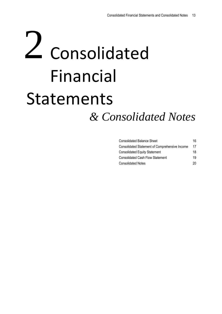# 2 Consolidated Financial Statements *& Consolidated Notes*

| <b>Consolidated Balance Sheet</b>              | 16 |
|------------------------------------------------|----|
| Consolidated Statement of Comprehensive Income | 17 |
| <b>Consolidated Equity Statement</b>           | 18 |
| <b>Consolidated Cash Flow Statement</b>        | 19 |
| <b>Consolidated Notes</b>                      | 20 |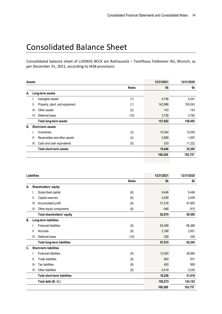### Consolidated Balance Sheet

Consolidated balance sheet of LUDWIG BECK am Rathauseck – Textilhaus Feldmeier AG, Munich, as per December 31, 2021, according to IASB provisions

| <b>Assets</b> |      |                                | 12/31/2021   | 12/31/2020 |         |
|---------------|------|--------------------------------|--------------|------------|---------|
|               |      |                                | <b>Notes</b> | €k         | €k      |
| А.            |      | Long-term assets               |              |            |         |
|               | ۱.   | Intangible assets              | (1)          | 4,746      | 4,541   |
|               | Ш.   | Property, plant, and equipment | (1)          | 142,986    | 150,043 |
|               | III. | Other assets                   | (2)          | 143        | 143     |
|               | IV.  | Deferred taxes                 | (10)         | 3,728      | 3,765   |
|               |      | <b>Total long-term assets</b>  |              | 151,602    | 158,493 |
| В.            |      | Short-term assets              |              |            |         |
|               |      | Inventories                    | (3)          | 10,344     | 12,045  |
|               | Ш.   | Receivables and other assets   | (4)          | 5,969      | 1,997   |
|               | III. | Cash and cash equivalents      | (5)          | 333        | 11,222  |
|               |      | <b>Total short-term assets</b> |              | 16,646     | 25,265  |
|               |      |                                |              | 168,249    | 183,757 |
|               |      |                                |              |            |         |

| <b>Liabilities</b> |      |                                     | 12/31/2021   | 12/31/2020 |         |
|--------------------|------|-------------------------------------|--------------|------------|---------|
|                    |      |                                     | <b>Notes</b> | €k         | €k      |
| А.                 |      | Shareholders' equity                |              |            |         |
|                    | I.   | Subscribed capital                  | (6)          | 9,446      | 9,446   |
|                    | 11.  | Capital reserves                    | (6)          | 3,459      | 3,459   |
|                    | III. | Accumulated profit                  | (6)          | 51,016     | 47,605  |
|                    | IV.  | Other equity components             | (6)          | $-946$     | $-915$  |
|                    |      | Total shareholders' equity          |              | 62,975     | 59,595  |
| В.                 |      | Long-term liabilities               |              |            |         |
|                    | I.   | <b>Financial liabilities</b>        | (9)          | 83,499     | 88,366  |
|                    | Ⅱ.   | Accruals                            | (8)          | 3,188      | 2,851   |
|                    | III. | Deferred taxes                      | (10)         | 328        | 328     |
|                    |      | <b>Total long-term liabilities</b>  |              | 87,015     | 92,545  |
| C.                 |      | <b>Short-term liabilities</b>       |              |            |         |
|                    | I.   | <b>Financial liabilities</b>        | (9)          | 12,450     | 26,684  |
|                    | II.  | <b>Trade liabilities</b>            | (9)          |            | 831     |
|                    | Ш    | <b>Tax liabilities</b>              | (9)          | 450        | 858     |
|                    | IV.  | Other liabilities                   | (9)          | 4,419      | 3,245   |
|                    |      | <b>Total short-term liabilities</b> |              | 18,258     | 31,618  |
|                    |      | Total debt (B.-C.)                  |              | 105,273    | 124,163 |
|                    |      |                                     |              | 168,249    | 183,757 |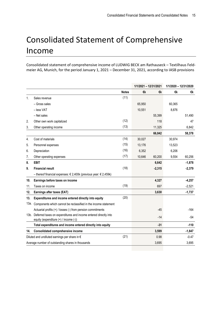### Consolidated Statement of Comprehensive Income

Consolidated statement of comprehensive income of LUDWIG BECK am Rathauseck – Textilhaus Feldmeier AG, Munich, for the period January 1, 2021 – December 31, 2021, according to IASB provisions

|                |                                                                      |              | 1/1/2021 - 12/31/2021 |          | 1/1/2020 - 12/31/2020 |          |
|----------------|----------------------------------------------------------------------|--------------|-----------------------|----------|-----------------------|----------|
|                |                                                                      | <b>Notes</b> | €k                    | €k       | €k                    | €k       |
| 1 <sub>1</sub> | Sales revenue                                                        | (11)         |                       |          |                       |          |
|                | - Gross sales                                                        |              | 65,950                |          | 60,365                |          |
|                | - less VAT                                                           |              | 10,551                |          | 8,876                 |          |
|                | - Net sales                                                          |              |                       | 55,399   |                       | 51,490   |
| 2.             | Other own work capitalized                                           | (12)         |                       | 118      |                       | 47       |
| 3.             | Other operating income                                               | (13)         |                       | 11,325   |                       | 6,842    |
|                |                                                                      |              |                       | 66,842   |                       | 58,378   |
| 4.             | Cost of materials                                                    | (14)         | 30,027                |          | 30,974                |          |
| 5.             | Personnel expenses                                                   | (15)         | 13,176                |          | 13,523                |          |
| 6.             | Depreciation                                                         | (16)         | 6,352                 |          | 6,206                 |          |
| 7.             | Other operating expenses                                             | (17)         | 10,646                | 60,200   | 9,554                 | 60,256   |
| 8.             | <b>EBIT</b>                                                          |              |                       | 6,642    |                       | $-1,878$ |
| 9.             | <b>Financial result</b>                                              | (18)         |                       | $-2,315$ |                       | $-2,379$ |
|                | - thereof financial expenses: € 2,400k (previous year: € 2,459k)     |              |                       |          |                       |          |
| 10.            | Earnings before taxes on income                                      |              |                       | 4,327    |                       | $-4,257$ |
| 11.            | Taxes on income                                                      | (19)         |                       | 697      |                       | $-2,521$ |
| 12.            | Earnings after taxes (EAT)                                           |              |                       | 3,630    |                       | $-1,737$ |
| 13.            | Expenditures and income entered directly into equity                 | (20)         |                       |          |                       |          |
|                | 13a. Components which cannot be reclassified in the income statement |              |                       |          |                       |          |
|                | Actuarial profits (+) / losses (-) from pension commitments          |              |                       | $-45$    |                       | $-164$   |
|                | 13b. Deferred taxes on expenditures and income entered directly into |              |                       | $-14$    |                       | $-54$    |
|                | equity (expenditure (+) / income (-))                                |              |                       |          |                       |          |
|                | Total expenditures and income entered directly into equity           |              |                       | $-31$    |                       | $-110$   |
| 14.            | <b>Consolidated comprehensive income</b>                             |              |                       | 3,599    |                       | $-1,847$ |
|                | Diluted and undiluted earnings per share in $\epsilon$               | (21)         |                       | 0.98     |                       | $-0.47$  |
|                | Average number of outstanding shares in thousands                    |              |                       | 3,695    |                       | 3,695    |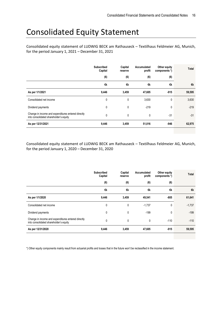### Consolidated Equity Statement

Consolidated equity statement of LUDWIG BECK am Rathauseck – Textilhaus Feldmeier AG, Munich, for the period January 1, 2021 – December 31, 2021

|                                                                                              | <b>Subscribed</b><br>Capital | Capital<br>reserve | Accumulated<br>profit | Other equity<br>components *) | Total  |
|----------------------------------------------------------------------------------------------|------------------------------|--------------------|-----------------------|-------------------------------|--------|
|                                                                                              | (6)                          | (6)                | (6)                   | (6)                           |        |
|                                                                                              | €k                           | €k                 | €k                    | €k                            | €k     |
| As per 1/1/2021                                                                              | 9,446                        | 3,459              | 47,605                | $-915$                        | 59,595 |
| Consolidated net income                                                                      | 0                            | 0                  | 3,630                 | 0                             | 3,630  |
| Dividend payments                                                                            | 0                            | 0                  | $-219$                | 0                             | $-219$ |
| Change in income and expenditures entered directly<br>into consolidated shareholder's equity | 0                            | 0                  | 0                     | $-31$                         | $-31$  |
| As per 12/31/2021                                                                            | 9,446                        | 3,459              | 51,016                | $-946$                        | 62,975 |

Consolidated equity statement of LUDWIG BECK am Rathauseck – Textilhaus Feldmeier AG, Munich, for the period January 1, 2020 – December 31, 2020

|                                                                                              | <b>Subscribed</b><br>Capital | Capital<br>reserve | Accumulated<br>profit | Other equity<br>components *) | Total    |
|----------------------------------------------------------------------------------------------|------------------------------|--------------------|-----------------------|-------------------------------|----------|
|                                                                                              | (6)                          | (6)                | (6)                   | (6)                           |          |
|                                                                                              | €k                           | €k                 | €k                    | €k                            | €k       |
| As per 1/1/2020                                                                              | 9,446                        | 3,459              | 49,541                | $-805$                        | 61,641   |
| Consolidated net income                                                                      | 0                            | 0                  | $-1,737$              | 0                             | $-1,737$ |
| Dividend payments                                                                            | 0                            | 0                  | $-199$                | 0                             | $-199$   |
| Change in income and expenditures entered directly<br>into consolidated shareholder's equity | $\mathbf{0}$                 | 0                  | 0                     | $-110$                        | $-110$   |
| As per 12/31/2020                                                                            | 9,446                        | 3,459              | 47,605                | $-915$                        | 59,595   |

\*) Other equity components mainly result from actuarial profits and losses that in the future won't be reclassified in the income statement.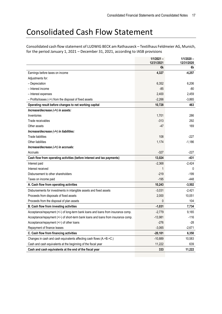### Consolidated Cash Flow Statement

Consolidated cash flow statement of LUDWIG BECK am Rathauseck – Textilhaus Feldmeier AG, Munich, for the period January 1, 2021 – December 31, 2021, according to IASB provisions

|                                                                                    | $1/1/2021 -$<br>12/31/2021 | $1/1/2020 -$<br>12/31/2020 |
|------------------------------------------------------------------------------------|----------------------------|----------------------------|
|                                                                                    | €k                         | €k                         |
| Earnings before taxes on income                                                    | 4,327                      | $-4,257$                   |
| Adjustments for:                                                                   |                            |                            |
| - Depreciation                                                                     | 6,352                      | 6,206                      |
| - Interest income                                                                  | $-85$                      | -80                        |
| - Interest expenses                                                                | 2,400                      | 2,459                      |
| $-$ Profits/losses (-/+) from the disposal of fixed assets                         | $-2,266$                   | $-3,865$                   |
| Operating result before changes to net working capital                             | 10,728                     | 463                        |
| Increase/decrease (-/+) in assets:                                                 |                            |                            |
| Inventories                                                                        | 1,701                      | 286                        |
| Trade receivables                                                                  | $-313$                     | 292                        |
| Other assets                                                                       | $-47$                      | 169                        |
| Increase/decrease (-/+) in liabilities:                                            |                            |                            |
| <b>Trade liabilities</b>                                                           | 108                        | $-227$                     |
| Other liabilities                                                                  | 1,174                      | $-1,186$                   |
| Increase/decrease (-/+) in accruals:                                               |                            |                            |
| Accruals                                                                           | $-327$                     | -227                       |
| Cash flow from operating activities (before interest and tax payments)             | 13,024                     | $-431$                     |
| Interest paid                                                                      | $-2,368$                   | $-2,424$                   |
| Interest received                                                                  | $\mathbf{1}$               | 0                          |
| Disbursement to other shareholders                                                 | $-219$                     | $-199$                     |
| Taxes on income paid                                                               | $-195$                     | -448                       |
| A. Cash flow from operating activities                                             | 10,243                     | $-3,502$                   |
| Disbursements for investments in intangible assets and fixed assets                | $-3,031$                   | $-2,421$                   |
| Proceeds from disposals of fixed assets                                            | 2,000                      | 10,051                     |
| Proceeds from the disposal of plan assets                                          | 0                          | 104                        |
| <b>B. Cash flow from investing activities</b>                                      | $-1,031$                   | 7,734                      |
| Acceptance/repayment (+/-) of long-term bank loans and loans from insurance comp.  | $-2,779$                   | 9,165                      |
| Acceptance/repayment (+/-) of short-term bank loans and loans from insurance comp. | $-13,981$                  | $-116$                     |
| Acceptance/repayment (+/-) of other loans                                          | $-276$                     | -28                        |
| Repayment of finance leases                                                        | $-3,065$                   | $-2,671$                   |
| C. Cash flow from financing activities                                             | $-20,101$                  | 6,350                      |
| Changes in cash and cash equivalents affecting cash flows (A.+B.+C.)               | $-10,889$                  | 10,583                     |
| Cash and cash equivalents at the beginning of the fiscal year                      | 11,222                     | 639                        |
| Cash and cash equivalents at the end of the fiscal year                            | 333                        | 11,222                     |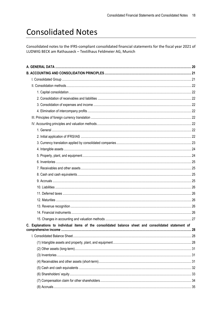### **Consolidated Notes**

Consolidated notes to the IFRS-compliant consolidated financial statements for the fiscal year 2021 of LUDWIG BECK am Rathauseck - Textilhaus Feldmeier AG, Munich

| C. Explanations to individual items of the consolidated balance sheet and consolidated statement of |  |
|-----------------------------------------------------------------------------------------------------|--|
|                                                                                                     |  |
|                                                                                                     |  |
|                                                                                                     |  |
|                                                                                                     |  |
|                                                                                                     |  |
|                                                                                                     |  |
|                                                                                                     |  |
|                                                                                                     |  |
|                                                                                                     |  |
|                                                                                                     |  |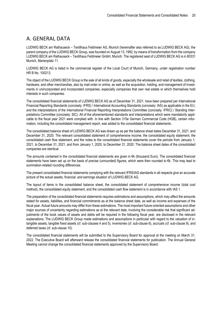#### <span id="page-19-0"></span>A. GENERAL DATA

LUDWIG BECK am Rathauseck – Textilhaus Feldmeier AG, Munich (hereinafter also referred to as LUDWIG BECK AG), the parent company of the LUDWIG BECK Group, was founded on August 13, 1992, by means of transformation from the company LUDWIG BECK am Rathauseck – Textilhaus Feldmeier GmbH, Munich. The registered seat of LUDWIG BECK AG is in 80331 Munich, Marienplatz 11.

LUDWIG BECK AG is listed in the commercial register of the Local Court of Munich, Germany, under registration number HR B No. 100213.

The object of the LUDWIG BECK Group is the sale of all kinds of goods, especially the wholesale and retail of textiles, clothing, hardware, and other merchandise, also by mail order or online, as well as the acquisition, holding, and management of investments in unincorporated and incorporated companies, especially companies that own real estate or which themselves hold interests in such companies.

The consolidated financial statements of LUDWIG BECK AG as of December 31, 2021, have been prepared per International Financial Reporting Standards (concisely: IFRS) / International Accounting Standards (concisely: IAS) as applicable in the EU, and the interpretations of the International Financial Reporting Interpretations Committee (concisely: IFRIC) / Standing Interpretations Committee (concisely: SIC). All of the aforementioned standards and interpretations which were mandatorily applicable to the fiscal year 2021 were complied with. In line with Section 315e German Commercial Code (HGB), certain information, including the consolidated management report, was added to the consolidated financial statements.

The consolidated balance sheet of LUDWIG BECK AG was drawn up as per the balance sheet dates December 31, 2021, and December 31, 2020. The relevant consolidated statement of comprehensive income, the consolidated equity statement, the consolidated cash flow statement, and the notes to the consolidated financial statements cover the periods from January 1, 2021, to December 31, 2021, and from January 1, 2020, to December 31, 2020. The balance sheet dates of the consolidated companies are identical.

The amounts contained in the consolidated financial statements are given in €k (thousand Euro). The consolidated financial statements have been set up on the basis of precise (unrounded) figures, which were then rounded to €k. This may lead to summation-related rounding differences.

The present consolidated financial statements complying with the relevant IFRS/IAS standards in all respects give an accurate picture of the actual assets, financial, and earnings situation of LUDWIG BECK AG.

The layout of items in the consolidated balance sheet, the consolidated statement of comprehensive income (total cost method), the consolidated equity statement, and the consolidated cash flow statement is in accordance with IAS 1.

The preparation of the consolidated financial statements requires estimations and assumptions, which may affect the amounts stated for assets, liabilities, and financial commitments as at the balance sheet date, as well as income and expenses of the fiscal year. Actual future amounts may differ from these estimations. The most important future-oriented assumptions and other major sources of uncertainty regarding estimations as at the relevant date, involving the considerable risk that significant adjustments of the book values of assets and debts will be required in the following fiscal year, are disclosed in the relevant explanations. The LUDWIG BECK Group made estimations and assumptions in particular with regard to the valuation of intangible assets, tangible fixed assets (cf. sub-clauses 4 and 5), inventories (cf. sub-clause 6), accruals (cf. sub-clause 9), and deferred taxes (cf. sub-clause 10).

The consolidated financial statements will be submitted to the Supervisory Board for approval at the meeting on March 31, 2022. The Executive Board will afterward release the consolidated financial statements for publication. The Annual General Meeting cannot change the consolidated financial statements approved by the Supervisory Board.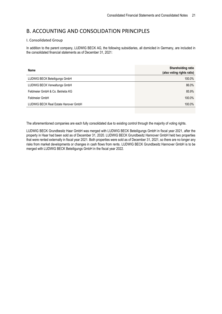#### <span id="page-20-0"></span>B. ACCOUNTING AND CONSOLIDATION PRINCIPLES

#### <span id="page-20-1"></span>I. Consolidated Group

In addition to the parent company, LUDWIG BECK AG, the following subsidiaries, all domiciled in Germany, are included in the consolidated financial statements as of December 31, 2021:

| Name                                 | Shareholding ratio<br>(also voting rights ratio) |
|--------------------------------------|--------------------------------------------------|
| LUDWIG BECK Beteiligungs GmbH        | 100.0%                                           |
| LUDWIG BECK Verwaltungs GmbH         | 86.0%                                            |
| Feldmeier GmbH & Co. Betriebs KG     | 85.9%                                            |
| Feldmeier GmbH                       | 100.0%                                           |
| LUDWIG BECK Real Estate Hanover GmbH | 100.0%                                           |

The aforementioned companies are each fully consolidated due to existing control through the majority of voting rights.

LUDWIG BECK Grundbesitz Haar GmbH was merged with LUDWIG BECK Beteiligungs GmbH in fiscal year 2021, after the property in Haar had been sold as of December 31, 2020. LUDWIG BECK Grundbesitz Hannover GmbH held two properties that were rented externally in fiscal year 2021. Both properties were sold as of December 31, 2021, so there are no longer any risks from market developments or changes in cash flows from rents. LUDWIG BECK Grundbesitz Hannover GmbH is to be merged with LUDWIG BECK Beteiligungs GmbH in the fiscal year 2022.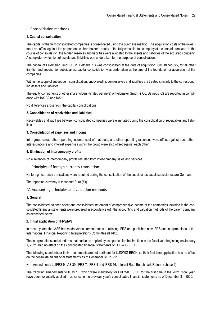#### <span id="page-21-0"></span>II. Consolidation methods

#### <span id="page-21-1"></span>**1. Capital consolidation**

The capital of the fully consolidated companies is consolidated using the purchase method. The acquisition costs of the investment are offset against the proportionate shareholder's equity of the fully consolidated company at the time of purchase. In the course of consolidation, the hidden reserves and liabilities were allocated to the assets and liabilities of the acquired company. A complete revaluation of assets and liabilities was undertaken for the purpose of consolidation.

The capital of Feldmeier GmbH & Co. Betriebs KG was consolidated at the date of acquisition. Simultaneously, for all other first-tier and second-tier subsidiaries, capital consolidation was undertaken at the time of the foundation or acquisition of the companies.

Within the scope of subsequent consolidation, uncovered hidden reserves and liabilities are treated similarly to the corresponding assets and liabilities.

The equity components of other shareholders (limited partners) of Feldmeier GmbH & Co. Betriebs KG are reported in compliance with IAS 32 and IAS 1.

No differences arose from the capital consolidations.

#### <span id="page-21-2"></span>**2. Consolidation of receivables and liabilities**

Receivables and liabilities between consolidated companies were eliminated during the consolidation of receivables and liabilities.

#### <span id="page-21-3"></span>**3. Consolidation of expenses and income**

Intra-group sales, other operating income, cost of materials, and other operating expenses were offset against each other. Interest income and interest expenses within the group were also offset against each other.

#### <span id="page-21-4"></span>**4. Elimination of intercompany profits**

No elimination of intercompany profits resulted from inter-company sales and services.

<span id="page-21-5"></span>III. Principles of foreign currency translation

No foreign currency translations were required during the consolidation of the subsidiaries, as all subsidiaries are German.

The reporting currency is thousand Euro  $(\epsilon k)$ .

#### <span id="page-21-6"></span>IV. Accounting principles and valuation methods

#### <span id="page-21-7"></span>**1. General**

The consolidated balance sheet and consolidated statement of comprehensive income of the companies included in the consolidated financial statements were prepared in accordance with the accounting and valuation methods of the parent company as described below.

#### <span id="page-21-8"></span>**2. Initial application of IFRS/IAS**

In recent years, the IASB has made various amendments to existing IFRS and published new IFRS and interpretations of the International Financial Reporting Interpretations Committee (IFRIC).

The interpretations and standards that had to be applied by companies for the first time in the fiscal year beginning on January 1, 2021, had no effect on the consolidated financial statements of LUDWIG BECK.

The following standards or their amendments are not pertinent for LUDWIG BECK, so their first-time application has no effect on the consolidated financial statements as of December 31, 2021:

− Amendments to IFRS 9, IAS 39, IFRS 7, IFRS 4 and IFRS 16: Interest Rate Benchmark Reform (phase 2)

The following amendments to IFRS 16, which were mandatory for LUDWIG BECK for the first time in the 2021 fiscal year, have been voluntarily applied in advance in the previous year's consolidated financial statements as of December 31, 2020: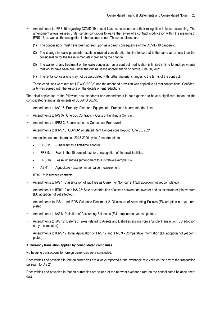- − Amendments to IFRS 16 regarding COVID-19 related lease concessions and their recognition in lease accounting: The amendment allows lessees under certain conditions to waive the review of a contract modification within the meaning of IFRS 16, as well as the recognition in the balance sheet. These conditions are:
	- (1) The concessions must have been agreed upon as a direct consequence of the COVID-19 pandemic.
	- (2) The change in lease payments results in revised consideration for the lease that is the same as or less than the consideration for the lease immediately preceding the change.
	- (3) The waiver of any treatment of the lease concession as a contract modification is limited in time to such payments that would have been due under the original lease agreement on or before June 30, 2021.
	- (4) The rental concessions may not be associated with further material changes to the terms of the contract.

These conditions were met at LUDWIG BECK, and the amended provision was applied to all rent concessions. Confidentiality was agreed with the lessors on the details of rent reductions.

The initial application of the following new standards and amendments is not expected to have a significant impact on the consolidated financial statements of LUDWIG BECK:

- − Amendments to IAS 16: Property, Plant and Equipment Proceeds before Intended Use
- − Amendments to IAS 37: Onerous Contracts Costs of Fulfilling a Contract
- − Amendments to IFRS 3: Reference to the Conceptual Framework
- − Amendments to IFRS 16: COVID-19-Related Rent Concessions beyond June 30, 2021
- − Annual improvements project, 2018-2020 cycle: Amendments to
	- IFRS 1: Subsidiary as a first-time adopter
	- IFRS 9: Fees in the 10 percent test for derecognition of financial liabilities
	- IFRS 16: Lease incentives (amendment to illustrative example 13)
	- IAS 41: Agriculture taxation in fair value measurement
- − IFRS 17: Insurance contracts
- − Amendments to IAS 1: Classification of liabilities as Current or Non-current (EU adoption not yet completed)
- − Amendments to IFRS 10 and IAS 28: Sale or contribution of assets between an investor and its associate or joint venture (EU adoption not yet effected)
- − Amendments to IAS 1 and IFRS Guidance Document 2: Disclosure of Accounting Policies (EU adoption not yet completed)
- − Amendments to IAS 8: Definition of Accounting Estimates (EU adoption not yet completed)
- − Amendments to IAS 12: Deferred Taxes related to Assets and Liabilities arising from a Single Transaction (EU adoption not yet completed)
- − Amendments to IFRS 17: Initial Application of IFRS 17 and IFRS 9 Comparative Information (EU adoption not yet completed)

#### <span id="page-22-0"></span>**3. Currency translation applied by consolidated companies**

No hedging transactions for foreign currencies were concluded.

Receivables and payables in foreign currencies are always reported at the exchange rate valid on the day of the transaction pursuant to IAS 21.

Receivables and payables in foreign currencies are valued at the relevant exchange rate on the consolidated balance sheet date.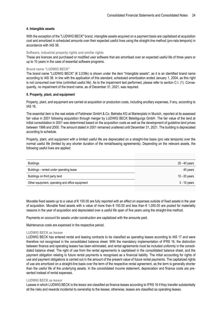#### <span id="page-23-0"></span>**4. Intangible assets**

With the exception of the "LUDWIG BECK" brand, intangible assets acquired on a payment basis are capitalized at acquisition cost and amortized in scheduled amounts over their expected useful lives using the straight-line method (pro-rata temporis) in accordance with IAS 38.

#### **Software, industrial property rights and similar rights**

These are licences and purchased or modified user software that are amortised over an expected useful life of three years or up to 10 years in the case of essential software programs.

#### **Brand name "LUDWIG BECK"**

The brand name "LUDWIG BECK" (€ 2,039k) is shown under the item "Intangible assets", as it is an identified brand name according to IAS 38. In line with the application of this standard, scheduled amortization ended January 1, 2004, as this right is not consumed over time (unlimited useful life). As to the impairment test performed, please refer to section C.I. (1). Consequently, no impairment of the brand name, as of December 31, 2021, was required.

#### <span id="page-23-1"></span>**5. Property, plant, and equipment**

Property, plant, and equipment are carried at acquisition or production costs, including ancillary expenses, if any, according to IAS 16.

The essential item is the real estate of Feldmeier GmbH & Co. Betriebs KG at Marienplatz in Munich, reported at its assessed fair value in 2001 following acquisition through merger by LUDWIG BECK Beteiligungs GmbH. The fair value of the land at initial consolidation in 2001 was determined based on the acquisition costs as well as the development of guideline land prices between 1998 and 2000. The amount stated in 2001 remained unaltered until December 31, 2021. The building is depreciated according to schedule.

Property, plant, and equipment with a limited useful life are depreciated on a straight-line basis (pro rata temporis) over the normal useful life (limited by any shorter duration of the rental/leasing agreements). Depending on the relevant assets, the following useful lives are applied:

| <b>Buildings</b>                                | 25 - 40 years |
|-------------------------------------------------|---------------|
| Buildings - rented under operating lease        | 40 years      |
| Buildings on third party land                   | 10 - 20 years |
| Other equipment, operating and office equipment | 3 - 10 years  |

Movable fixed assets up to a value of € 150.00 are fully reported with an effect on expenses outside of fixed assets in the year of acquisition. Movable fixed assets with a value of more than € 150.00 and less than € 1,000.00 are pooled for materiality reasons in the year of acquisition and depreciated over a useful life span of five years using the straight-line method.

Payments on account for assets under construction are capitalized with the amounts paid.

Maintenance costs are expensed in the respective period.

#### **LUDWIG BECK as lessee**

LUDWIG BECK has entered rental and leasing contracts to be classified as operating leases according to IAS 17 and were therefore not recognised in the consolidated balance sheet. With the mandatory implementation of IFRS 16, the distinction between finance and operating leases has been eliminated, and rental agreements must be included uniformly in the consolidated balance sheet. The right of use from the rental agreements is capitalised in the consolidated balance sheet, and the payment obligation relating to future rental payments is recognised as a financial liability. The initial accounting for rights of use and payment obligations is carried out in the amount of the present value of future rental payments. The capitalized rights of use are amortized on a straight-line basis over the term of the respective rental agreement, as the term is generally shorter than the useful life of the underlying assets. In the consolidated income statement, depreciation and finance costs are presented instead of rental expenses.

#### **LUDWIG BECK as lessor**

Leases in which LUDWIG BECK is the lessor are classified as finance leases according to IFRS 16 if they transfer substantially all the risks and rewards incidental to ownership to the lessee; otherwise, leases are classified as operating leases.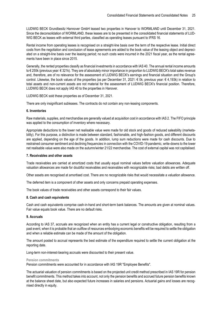LUDWIG BECK Grundbesitz Hannover GmbH leased two properties in Hanover to WORMLAND until December 31, 2021. Since the deconsolidation of WORMLAND, these leases are to be presented in the consolidated financial statements of LUD-WIG BECK as leases with external third parties, classified as operating leases pursuant to IFRS 16.

Rental income from operating leases is recognised on a straight-line basis over the term of the respective lease. Initial direct costs from the negotiation and conclusion of lease agreements are added to the book value of the leasing object and depreciated on a straight-line basis over the leasing period; no such costs were incurred in the 2021 fiscal year, as the rental agreements have been in place since 2015.

Generally, the rented properties classify as financial investments in accordance with IAS 40. The annual rental income amounts to € 255k (previous year: € 321k). They are of absolutely minor importance in proportion to LUDWIG BECK's total sales revenue and, therefore, are of no relevance for the assessment of LUDWIG BECK's earnings and financial situation and the Group's control. Likewise, the book values of the properties (as per December 31, 2021: € 0k; previous year: € 4,193k) in relation to total assets and non-current assets are not material for the assessment of LUDWIG BECK's financial position. Therefore, LUDWIG BECK does not apply IAS 40 to the properties in Hanover.

LUDWIG BECK sold these properties as of December 31, 2021.

There are only insignificant subleases. The contracts do not contain any non-leasing components.

#### <span id="page-24-0"></span>**6. Inventories**

Raw materials, supplies, and merchandise are generally valued at acquisition cost in accordance with IAS 2. The FIFO principle was applied to the consumption of inventory where necessary.

Appropriate deductions to the lower net realisable value were made for old stock and goods of reduced saleability (marketability). For this purpose, a distinction is made between standard, fashionable, and high-fashion goods, and different discounts are applied, depending on the age of the goods. In addition, lump sum reductions were made for cash discounts. Due to restrained consumer sentiment and declining frequencies in connection with the COVID-19 pandemic, write-downs to the lower net realisable value were also made on the autumn/winter 21/22 merchandise. The cost of external capital was not capitalised.

#### <span id="page-24-1"></span>**7. Receivables and other assets**

Trade receivables are carried at amortized costs that usually equal nominal values before valuation allowances. Adequate valuation allowances are made for doubtful receivables and receivables with recognizable risks; bad debts are written off.

Other assets are recognised at amortised cost. There are no recognizable risks that would necessitate a valuation allowance.

The deferred item is a component of other assets and only concerns prepaid operating expenses.

The book values of trade receivables and other assets correspond to their fair values.

#### <span id="page-24-2"></span>**8. Cash and cash equivalents**

Cash and cash equivalents comprise cash-in-hand and short-term bank balances. The amounts are given at nominal values. Fair value equals book value. There are no default risks.

#### <span id="page-24-3"></span>**9. Accruals**

According to IAS 37, accruals are recognized when an entity has a current legal or constructive obligation, resulting from a past event, when it is probable that an outflow of resources embodying economic benefits will be required to settle the obligation and when a reliable estimate can be made of the amount of the obligation.

The amount posted to accrual represents the best estimate of the expenditure required to settle the current obligation at the reporting date.

Long-term non-interest-bearing accruals were discounted to their present value.

#### **Pension commitments**

Pension commitments were accounted for in accordance with IAS 19R "Employee Benefits".

The actuarial valuation of pension commitments is based on the projected unit credit method prescribed in IAS 19R for pension benefit commitments. This method takes into account, not only the pension benefits and accrued future pension benefits known at the balance sheet date, but also expected future increases in salaries and pensions. Actuarial gains and losses are recognised directly in equity.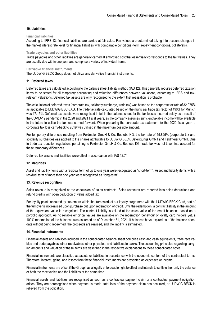#### <span id="page-25-0"></span>**10. Liabilities**

#### **Financial liabilities**

According to IFRS 13, financial liabilities are carried at fair value. Fair values are determined taking into account changes in the market interest rate level for financial liabilities with comparable conditions (term, repayment conditions, collaterals).

#### **Trade payables and other liabilities**

Trade payables and other liabilities are generally carried at amortised cost that essentially corresponds to the fair values. They are usually due within one year and comprise a variety of individual items.

#### **Derivative financial instruments**

The LUDWIG BECK Group does not utilize any derivative financial instruments.

#### <span id="page-25-1"></span>**11. Deferred taxes**

Deferred taxes are calculated according to the balance sheet liability method (IAS 12). This generally requires deferred taxation items to be stated for all temporary accounting and valuation differences between valuations, according to IFRS and taxrelevant valuations. Deferred tax assets are only recognised to the extent that realisation is probable.

The calculation of deferred taxes (corporate tax, solidarity surcharge, trade tax) was based on the corporate tax rate of 32.975% as applicable to LUDWIG BECK AG. The trade tax rate calculated based on the municipal trade tax factor of 490% for Munich was 17.15%. Deferred tax assets were recognised in full in the balance sheet for the tax losses incurred solely as a result of the COVID-19 pandemic in the 2020 and 2021 fiscal years, as the company assumes sufficient taxable income will be available in the future to utilise the tax loss carried forward. When preparing the corporate tax statement for the 2020 fiscal year, a corporate tax loss carry-back to 2019 was utilised in the maximum possible amount.

For temporary differences resulting from Feldmeier GmbH & Co. Betriebs KG, the tax rate of 15.825% (corporate tax and solidarity surcharge) was applied to the shares attributable to LUDWIG BECK Beteiligungs GmbH and Feldmeier GmbH. Due to trade tax reduction regulations pertaining to Feldmeier GmbH & Co. Betriebs KG, trade tax was not taken into account for these temporary differences.

Deferred tax assets and liabilities were offset in accordance with IAS 12.74.

#### <span id="page-25-2"></span>**12. Maturities**

Asset and liability items with a residual term of up to one year were recognized as "short-term". Asset and liability items with a residual term of more than one year were recognized as "long-term".

#### <span id="page-25-3"></span>**13. Revenue recognition**

Sales revenue is recognized at the conclusion of sales contracts. Sales revenues are reported less sales deductions and refund credits with open deduction of value added tax.

For loyalty points acquired by customers within the framework of our loyalty programme with the LUDWIG BECK Card, part of the turnover is not realised upon purchase but upon redemption of credit. Until the redemption, a contract liability in the amount of the equivalent value is recognised. The contract liability is valued at the sales value of the credit balances based on a portfolio approach. As no reliable empirical values are available on the redemption behaviour of loyalty card holders yet, a 100% redemption of the balances was assumed as of December 31, 2021. If balances have expired as of the balance sheet date without being redeemed, the proceeds are realised, and the liability is eliminated.

#### <span id="page-25-4"></span>**14. Financial instruments**

Financial assets and liabilities included in the consolidated balance sheet comprise cash and cash equivalents, trade receivables and trade payables, other receivables, other payables, and liabilities to banks. The accounting principles regarding carrying amounts and valuation of these items are described in the respective explanations to these consolidated notes.

Financial instruments are classified as assets or liabilities in accordance with the economic content of the contractual terms. Therefore, interest, gains, and losses from these financial instruments are presented as expenses or income.

Financial instruments are offset if the Group has a legally enforceable right to offset and intends to settle either only the balance or both the receivables and the liabilities at the same time.

Financial assets and liabilities are recognised as soon as a contractual payment claim or a contractual payment obligation arises. They are derecognised when payment is made, total loss of the payment claim has occurred, or LUDWIG BECK is relieved from the obligation.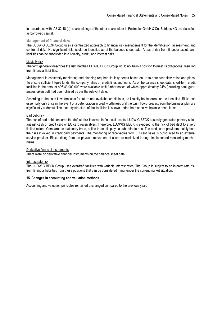In accordance with IAS 32.18 (b), shareholdings of the other shareholder in Feldmeier GmbH & Co. Betriebs KG are classified as borrowed capital.

#### **Management of financial risks**

The LUDWIG BECK Group uses a centralized approach to financial risk management for the identification, assessment, and control of risks. No significant risks could be identified as of the balance sheet date. Areas of risk from financial assets and liabilities can be subdivided into liquidity, credit, and interest risks.

#### Liquidity risk

The term generally describes the risk that the LUDWIG BECK Group would not be in a position to meet its obligations, resulting from financial liabilities.

Management is constantly monitoring and planning required liquidity needs based on up-to-date cash flow ratios and plans. To ensure sufficient liquid funds, the company relies on credit lines and loans. As of the balance sheet date, short-term credit facilities in the amount of € 43,000,000 were available until further notice, of which approximately 24% (including bank guarantees taken out) had been utilised as per the relevant date.

According to the cash flow forecasts for future and available credit lines, no liquidity bottlenecks can be identified. Risks can essentially only arise in the event of a deterioration in creditworthiness or if the cash flows forecast from the business plan are significantly undercut. The maturity structure of the liabilities is shown under the respective balance sheet items.

#### Bad debt risk

The risk of bad debt concerns the default risk involved in financial assets. LUDWIG BECK basically generates primary sales against cash or credit card or EC card receivables. Therefore, LUDWIG BECK is exposed to the risk of bad debt to a very limited extent. Compared to stationary trade, online trade still plays a subordinate role. The credit card providers mainly bear the risks involved in credit card payments. The monitoring of receivables from EC card sales is outsourced to an external service provider. Risks arising from the physical movement of cash are minimized through implemented monitoring mechanisms.

#### Derivative financial instruments

There were no derivative financial instruments on the balance sheet date.

#### Interest rate risk

The LUDWIG BECK Group uses overdraft facilities with variable interest rates. The Group is subject to an interest rate risk from financial liabilities from these positions that can be considered minor under the current market situation.

#### <span id="page-26-0"></span>**15. Changes in accounting and valuation methods**

Accounting and valuation principles remained unchanged compared to the previous year.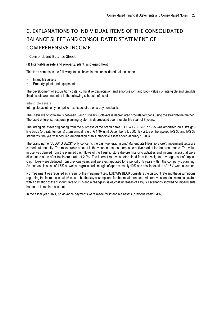### <span id="page-27-0"></span>C. EXPLANATIONS TO INDIVIDUAL ITEMS OF THE CONSOLIDATED BALANCE SHEET AND CONSOLIDATED STATEMENT OF COMPREHENSIVE INCOME

<span id="page-27-1"></span>I. Consolidated Balance Sheet

#### <span id="page-27-2"></span>**(1) Intangible assets and property, plant, and equipment**

This term comprises the following items shown in the consolidated balance sheet:

- − Intangible assets
- − Property, plant, and equipment

The development of acquisition costs, cumulative depreciation and amortisation, and book values of intangible and tangible fixed assets are presented in the following schedule of assets.

#### **Intangible assets**

Intangible assets only comprise assets acquired on a payment basis.

The useful life of software is between 3 and 10 years. Software is depreciated pro-rata temporis using the straight-line method. The used enterprise resource planning system is depreciated over a useful life span of 8 years.

The intangible asset originating from the purchase of the brand name "LUDWIG BECK" in 1995 was amortised on a straightline basis (pro rata temporis) at an annual rate of € 170k until December 31, 2003. By virtue of the applied IAS 36 and IAS 38 standards, the yearly scheduled amortization of this intangible asset ended January 1, 2004.

The brand name "LUDWIG BECK" only concerns the cash-generating unit "Marienplatz Flagship Store". Impairment tests are carried out annually. The recoverable amount is the value in use, as there is no active market for the brand name. The value in use was derived from the planned cash flows of the flagship store (before financing activities and income taxes) that were discounted at an after-tax interest rate of 2.2%. The interest rate was determined from the weighted average cost of capital. Cash flows were deduced from previous years and were extrapolated for a period of 5 years within the company's planning. An increase in sales of 1.5% as well as a gross profit margin of approximately 49% and cost indexation of 1.5% were assumed.

No impairment was required as a result of the impairment test. LUDWIG BECK considers the discount rate and the assumptions regarding the increase in sales/costs to be the key assumptions for the impairment test. Alternative scenarios were calculated with a deviation of the discount rate of  $\pm 1\%$  and a change in sales/cost increases of  $\pm 1\%$ . All scenarios showed no impairments had to be taken into account.

In the fiscal year 2021, no advance payments were made for intangible assets (previous year: € 49k).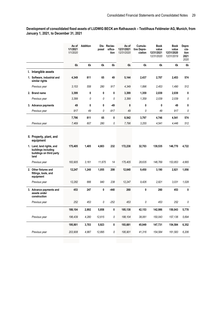**Development of consolidated fixed assets of LUDWIG BECK am Rathauseck – Textilhaus Feldmeier AG, Munich, from January 1, 2021, to December 31, 2021**

|                                                                    | As of<br>1/1/2021<br>1/1/2020 | <b>Addition</b> | posal  | Dis-Reclas-<br>sifica-<br>tion | As of<br>12/31/2021<br>12/31/2020 | Cumula-<br>tive Depre-<br>ciation | <b>Book</b><br>value<br>12/31/2021<br>12/31/2020 | <b>Book</b><br>value<br>12/31/2020<br>12/31/2019 | Depre<br>cia-<br>tion<br>2021<br>2020 |
|--------------------------------------------------------------------|-------------------------------|-----------------|--------|--------------------------------|-----------------------------------|-----------------------------------|--------------------------------------------------|--------------------------------------------------|---------------------------------------|
|                                                                    | €k                            | €k              | €k     | €k                             | €k                                | €k                                | €k                                               | €k                                               | €k                                    |
| I. Intangible assets                                               |                               |                 |        |                                |                                   |                                   |                                                  |                                                  |                                       |
| 1. Software, industrial and<br>similar rights                      | 4,349                         | 811             | 65     | 49                             | 5,144                             | 2,437                             | 2,707                                            | 2,453                                            | 574                                   |
| Previous year                                                      | 3.153                         | 558             | 280    | 917                            | 4,349                             | 1,896                             | 2.453                                            | 1,490                                            | 512                                   |
| 2. Brand name                                                      | 3,399                         | 0               | 0      | 0                              | 3,399                             | 1,359                             | 2,039                                            | 2,039                                            | 0                                     |
| Previous year                                                      | 3.399                         | 0               | 0      | 0                              | 3.399                             | 1,359                             | 2,039                                            | 2,039                                            | 0                                     |
| 3. Advance payments                                                | 49                            | 0               | 0      | $-49$                          | 0                                 | 0                                 | 0                                                | 49                                               | 0                                     |
| Previous year                                                      | 917                           | 49              | 0      | $-917$                         | 49                                | 0                                 | 49                                               | 917                                              | 0                                     |
|                                                                    | 7,796                         | 811             | 65     | 0                              | 8,542                             | 3,797                             | 4,746                                            | 4,541                                            | 574                                   |
| Previous year                                                      | 7,469                         | 607             | 280    | 0                              | 7,796                             | 3,255                             | 4,541                                            | 4,446                                            | 512                                   |
| II. Property, plant, and<br>equipment<br>1. Land, land rights, and | 175,405                       | 1,405           | 4,803  | 232                            | 172,238                           | 32,703                            | 139,535                                          | 146,770                                          | 4.722                                 |
| buildings including<br>buildings on third party<br>land            |                               |                 |        |                                |                                   |                                   |                                                  |                                                  |                                       |
| Previous year                                                      | 183,905                       | 3,161           | 11,675 | 14                             | 175,405                           | 28,635                            | 146,769                                          | 153,853                                          | 4.665                                 |
| 2. Other fixtures and<br>fittings, tools, and<br>equipment         | 12,247                        | 1,240           | 1,055  | 208                            | 12,640                            | 9,450                             | 3,190                                            | 2,821                                            | 1,056                                 |
| Previous year                                                      | 12,282                        | 666             | 940    | 238                            | 12,247                            | 9,426                             | 2,821                                            | 3,031                                            | 1,028                                 |
| 3. Advance payments and<br>assets under<br>construction            | 453                           | 247             | 0      | -440                           | 260                               | 0                                 | 260                                              | 453                                              | 0                                     |
| Previous year                                                      | 252                           | 453             | 0      | $-252$                         | 453                               | $\theta$                          | 453                                              | 252                                              | 0                                     |
|                                                                    | 188,104                       | 2,892           | 5,858  | 0                              | 185,138                           | 42,153                            | 142,986                                          | 150,043                                          | 5,778                                 |
| Previous year                                                      | 196,439                       | 4,280           | 12,615 | 0                              | 188,104                           | 38,061                            | 150,043                                          | 157,136                                          | 5,694                                 |
|                                                                    | 195,901                       | 3,703           | 5,923  | 0                              | 193,681                           | 45,949                            | 147,731                                          | 154,584                                          | 6,352                                 |
| Previous year                                                      | 203,908                       | 4,887           | 12,895 | 0                              | 195,901                           | 41,316                            | 154,584                                          | 161,583                                          | 6,206                                 |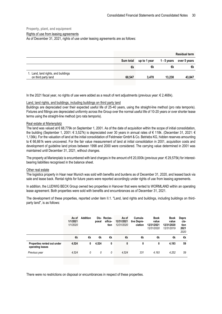#### **Property, plant, and equipment**

Rights of use from leasing agreements

As of December 31, 2021, rights of use under leasing agreements are as follows:

|                                                            |           |              |             | <b>Residual term</b> |
|------------------------------------------------------------|-----------|--------------|-------------|----------------------|
|                                                            | Sum total | up to 1 year | 1 - 5 years | over 5 years         |
|                                                            | €k        | €k           | €k          | €k                   |
| 1. Land, land rights, and buildings<br>on third party land | 60.547    | 3.470        | 13.230      | 43,847               |

In the 2021 fiscal year, no rights of use were added as a result of rent adjustments (previous year: € 2,468k).

#### Land, land rights, and buildings, including buildings on third party land

Buildings are depreciated over their expected useful life of 25-40 years, using the straight-line method (pro rata temporis). Fixtures and fittings are depreciated uniformly across the Group over the normal useful life of 10-20 years or over shorter lease terms using the straight-line method (pro rata temporis).

#### Real estate at Marienplatz

The land was valued at € 68,779k on September 1, 2001. As of the date of acquisition within the scope of initial consolidation, the building (September 1, 2001: € 3,527k) is depreciated over 30 years in annual rates of € 118k. (December 31, 2021: € 1,136k). For the valuation of land at the initial consolidation of Feldmeier GmbH & Co. Betriebs KG, hidden reserves amounting to € 66,661k were uncovered. For the fair value measurement of land at initial consolidation in 2001, acquisition costs and development of guideline land prices between 1998 and 2000 were considered. The carrying value determined in 2001 was maintained until December 31, 2021, without changes.

The property at Marienplatz is encumbered with land charges in the amount of  $\epsilon$  20,000k (previous year:  $\epsilon$  29,575k) for interestbearing liabilities recognised in the balance sheet.

#### Other real estate

The logistics property in Haar near Munich was sold with benefits and burdens as of December 31, 2020, and leased back via sale and lease back. Rental rights for future years were reported accordingly under rights of use from leasing agreements.

In addition, the LUDWIG BECK Group owned two properties in Hanover that were rented to WORMLAND within an operating lease agreement. Both properties were sold with benefits and encumbrances as of December 31, 2021.

The development of these properties, reported under item II.1. "Land, land rights and buildings, including buildings on thirdparty land", is as follows:

|                                                 | As of<br>1/1/2021<br>1/1/2020 | <b>Addition</b> | posal | Dis-Reclas-<br>sifica-<br>tion | As of<br>12/31/2021<br>12/31/2020 | Cumula-<br>tive Depre-<br>ciation | <b>Book</b><br>value<br>12/31/2021<br>12/31/2020 | <b>Book</b><br>value<br>12/31/2020<br>12/31/2019 | Depre<br>cia-<br>tion<br>2021<br>2020 |
|-------------------------------------------------|-------------------------------|-----------------|-------|--------------------------------|-----------------------------------|-----------------------------------|--------------------------------------------------|--------------------------------------------------|---------------------------------------|
|                                                 | €k                            | €k              | €k    | €k                             | €k                                | €k                                | €k                                               | €k                                               | €k                                    |
| Properties rented out under<br>operating leases | 4,524                         | 0               | 4,524 | 0                              | 0                                 | 0                                 | 0                                                | 4,193                                            | 59                                    |
| Previous year                                   | 4.524                         | 0               | 0     | 0                              | 4.524                             | 331                               | 4.193                                            | 4,252                                            | 59                                    |

There were no restrictions on disposal or encumbrances in respect of these properties.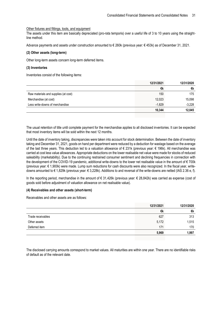#### Other fixtures and fittings, tools, and equipment

The assets under this item are basically depreciated (pro-rata temporis) over a useful life of 3 to 10 years using the straightline method.

Advance payments and assets under construction amounted to € 260k (previous year: € 453k) as of December 31, 2021.

#### <span id="page-30-0"></span>**(2) Other assets (long-term)**

Other long-term assets concern long-term deferred items.

#### <span id="page-30-1"></span>**(3) Inventories**

Inventories consist of the following items:

|                                      | 12/31/2021 | 12/31/2020 |
|--------------------------------------|------------|------------|
|                                      | €k         | €k         |
| Raw materials and supplies (at cost) | 150        | 175        |
| Merchandise (at cost)                | 12,023     | 15,098     |
| Less write-downs of merchandise      | $-1,829$   | $-3,228$   |
|                                      | 10,344     | 12,045     |

The usual retention of title until complete payment for the merchandise applies to all disclosed inventories. It can be expected that most inventory items will be sold within the next 12 months.

Until the date of inventory taking, discrepancies were taken into account for stock determination. Between the date of inventory taking and December 31, 2021, goods on hand per department were reduced by a deduction for wastage based on the average of the last three years. This deduction led to a valuation allowance of € 231k (previous year: € 196k). All merchandise was carried at cost less value allowances. Appropriate deductions on the lower realisable net value were made for stocks of reduced saleability (marketability). Due to the continuing restrained consumer sentiment and declining frequencies in connection with the development of the COVID-19 pandemic, additional write-downs to the lower net realisable value in the amount of € 700k (previous year: € 1,900k) were made. Lump sum reductions for cash discounts were also recognized. In the fiscal year, writedowns amounted to € 1,829k (previous year: € 3,228k). Additions to and reversal of the write-downs are netted (IAS 2.36 e, f).

In the reporting period, merchandise in the amount of € 31,426k (previous year: € 28,842k) was carried as expense (cost of goods sold before adjustment of valuation allowance on net realisable value).

#### <span id="page-30-2"></span>**(4) Receivables and other assets (short-term)**

Receivables and other assets are as follows:

|                   | 12/31/2021 | 12/31/2020 |
|-------------------|------------|------------|
|                   | €k         | €k         |
| Trade receivables | 627        | 313        |
| Other assets      | 5,172      | 1,515      |
| Deferred item     | 171        | 170        |
|                   | 5,969      | 1,997      |

The disclosed carrying amounts correspond to market values. All maturities are within one year. There are no identifiable risks of default as of the relevant date.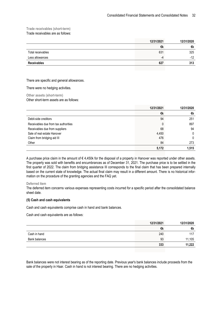#### **Trade receivables (short-term)**

Trade receivables are as follows:

|                    | 12/31/2021 | 12/31/2020 |
|--------------------|------------|------------|
|                    | €k         | €k         |
| Total receivables  | 631        | 325        |
| Less allowances    | -4         | $-12$      |
| <b>Receivables</b> | 627        | 313        |
|                    |            |            |

There are specific and general allowances.

There were no hedging activities.

**Other assets (short-term)** Other short-term assets are as follows:

|                                      | 12/31/2021 | 12/31/2020 |
|--------------------------------------|------------|------------|
|                                      | €k         | €k         |
| Debit-side creditors                 | 94         | 251        |
| Receivables due from tax authorities | 0          | 897        |
| Receivables due from suppliers       | 68         | 94         |
| Sale of real estate Hanover          | 4,450      |            |
| Claim from bridging aid III          | 476        |            |
| Other                                | 84         | 273        |
|                                      | 5,172      | 1.515      |

A purchase price claim in the amount of  $\epsilon$  4,450k for the disposal of a property in Hanover was reported under other assets. The property was sold with benefits and encumbrances as of December 31, 2021. The purchase price is to be settled in the first quarter of 2022. The claim from bridging assistance III corresponds to the final claim that has been prepared internally based on the current state of knowledge. The actual final claim may result in a different amount. There is no historical information on the procedure of the granting agencies and the FAQ yet.

#### **Deferred item**

The deferred item concerns various expenses representing costs incurred for a specific period after the consolidated balance sheet date.

#### <span id="page-31-0"></span>**(5) Cash and cash equivalents**

Cash and cash equivalents comprise cash in hand and bank balances.

Cash and cash equivalents are as follows:

|               | 12/31/2021 | 12/31/2020 |
|---------------|------------|------------|
|               | €k         | €k         |
| Cash in hand  | 240        | 117        |
| Bank balances | 93         | 11,105     |
|               | 333        | 11,222     |

Bank balances were not interest bearing as of the reporting date. Previous year's bank balances include proceeds from the sale of the property in Haar. Cash in hand is not interest bearing. There are no hedging activities.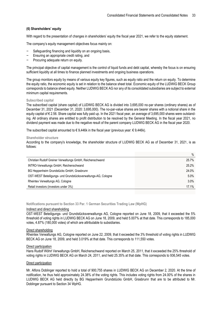#### <span id="page-32-0"></span>**(6) Shareholders' equity**

With regard to the presentation of changes in shareholders' equity the fiscal year 2021, we refer to the equity statement.

The company's equity management objectives focus mainly on:

- Safeguarding financing and liquidity on an ongoing basis,
- Ensuring an appropriate credit rating, and
- Procuring adequate return on equity.

The principal objective of capital management is the control of liquid funds and debt capital, whereby the focus is on ensuring sufficient liquidity at all times to finance planned investments and ongoing business operations.

The group monitors equity by means of various equity key figures, such as equity ratio and the return on equity. To determine the equity ratio, the economic equity is set in relation to the balance sheet total. Economic equity of the LUDWIG BECK Group corresponds to balance sheet equity. Neither LUDWIG BECK AG nor any of its consolidated subsidiaries are subject to external minimum capital requirements.

#### **Subscribed capital**

The subscribed capital (share capital) of LUDWIG BECK AG is divided into 3,695,000 no-par shares (ordinary shares) as of December 31, 2021 (December 31, 2020: 3,695,000). The no-par-value shares are bearer shares with a notional share in the equity capital of € 2.56. Share capital was fully paid up. In the 2021 fiscal year, an average of 3,695,000 shares were outstanding. All ordinary shares are entitled to profit distribution to be resolved by the General Meeting. In the fiscal year 2021, no dividend payment was made due to the negative result of the parent company LUDWIG BECK AG in the fiscal year 2020.

The subscribed capital amounted to  $\epsilon$  9.446k in the fiscal year (previous year:  $\epsilon$  9.446k).

#### **Shareholder structure**

According to the company's knowledge, the shareholder structure of LUDWIG BECK AG as of December 31, 2021, is as follows:

|                                                               | $\%$  |
|---------------------------------------------------------------|-------|
| Christian Rudolf Greiner Verwaltungs GmbH, Reichenschwand     | 25.7% |
| INTRO-Verwaltungs GmbH, Reichenschwand                        | 25.2% |
| BG Heppenheim Grundstücks GmbH, Grasbrunn                     | 24.0% |
| OST-WEST Beteiligungs- und Grundstücksverwaltungs-AG, Cologne | 5.0%  |
| Rheintex Verwaltungs AG, Cologne                              | 3.0%  |
| Retail investors (investors under 3%)                         | 17.1% |

**Notifications pursuant to Section 33 Par. 1 German Securities Trading Law (WpHG)**

#### Indirect and direct shareholding

OST-WEST Beteiligungs- und Grundstücksverwaltungs AG, Cologne reported on June 18, 2009, that it exceeded the 5% threshold of voting rights in LUDWIG BECK AG on June 18, 2009, and held 5.007% at that date. This corresponds to 185,000 votes, 4.87% (180,000 votes) of which are attributable to subsidiaries.

#### Direct shareholding

Rheintex Verwaltungs AG, Cologne reported on June 22, 2009, that it exceeded the 3% threshold of voting rights in LUDWIG BECK AG on June 18, 2009, and held 3.019% at that date. This corresponds to 111,550 votes.

#### Direct participation

Hans Rudolf Wöhrl Verwaltungs GmbH, Reichenschwand reported on March 25, 2011, that it exceeded the 25% threshold of voting rights in LUDWIG BECK AG on March 24, 2011, and held 25.35% at that date. This corresponds to 936,545 votes.

#### Direct participation

Mr. Alfons Doblinger reported to hold a total of 900,755 shares in LUDWIG BECK AG on December 2, 2020. At the time of notification, he thus held approximately 24.38% of the voting rights. This includes voting rights from 24.00% of the shares in LUDWIG BECK AG held directly by BG Heppenheim Grundstücks GmbH, Grasbrunn that are to be attributed to Mr. Doblinger pursuant to Section 34 WpHG.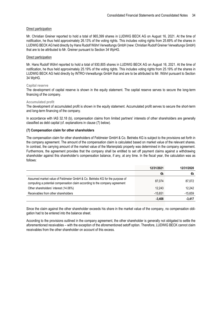#### Direct participation

Mr. Christian Greiner reported to hold a total of 965,399 shares in LUDWIG BECK AG on August 16, 2021. At the time of notification, he thus held approximately 26.13% of the voting rights. This includes voting rights from 25.69% of the shares in LUDWIG BECK AG held directly by Hans Rudolf Wöhrl Verwaltungs GmbH (new: Christian Rudolf Greiner Verwaltungs GmbH) that are to be attributed to Mr. Greiner pursuant to Section 34 WpHG.

#### Direct participation

Mr. Hans Rudolf Wöhrl reported to hold a total of 930,805 shares in LUDWIG BECK AG on August 16, 2021. At the time of notification, he thus held approximately 25.19% of the voting rights. This includes voting rights from 25.19% of the shares in LUDWIG BECK AG held directly by INTRO-Verwaltungs GmbH that and are to be attributed to Mr. Wöhrl pursuant to Section 34 WpHG.

#### **Capital reserve**

The development of capital reserve is shown in the equity statement. The capital reserve serves to secure the long-term financing of the company.

#### **Accumulated profit**

The development of accumulated profit is shown in the equity statement. Accumulated profit serves to secure the short-term and long-term financing of the company.

In accordance with IAS 32.18 (b), compensation claims from limited partners' interests of other shareholders are generally classified as debt capital (cf. explanations in clause (7) below).

#### <span id="page-33-0"></span>**(7) Compensation claim for other shareholders**

The compensation claim for other shareholders of Feldmeier GmbH & Co. Betriebs KG is subject to the provisions set forth in the company agreement. The amount of the compensation claim is calculated based on market value of the relevant shares. In contrast, the carrying amount of the market value of the Marienplatz property was determined in the company agreement. Furthermore, the agreement provides that the company shall be entitled to set off payment claims against a withdrawing shareholder against this shareholder's compensation balance, if any, at any time. In the fiscal year, the calculation was as follows:

|                                                                                                                                                            | 12/31/2021 | 12/31/2020 |
|------------------------------------------------------------------------------------------------------------------------------------------------------------|------------|------------|
|                                                                                                                                                            | €k         | €k         |
| Assumed market value of Feldmeier GmbH & Co. Betriebs KG for the purpose of<br>computing a potential compensation claim according to the company agreement | 87.074     | 87,072     |
| Other shareholders' interest (14.06%)                                                                                                                      | 12.243     | 12.242     |
| Receivables from other shareholders                                                                                                                        | $-15.651$  | $-15,659$  |
|                                                                                                                                                            | $-3,408$   | $-3,417$   |

Since the claim against the other shareholder exceeds his share in the market value of the company, no compensation obligation had to be entered into the balance sheet.

According to the provisions outlined in the company agreement, the other shareholder is generally not obligated to settle the aforementioned receivables – with the exception of the aforementioned setoff option. Therefore, LUDWIG BECK cannot claim receivables from the other shareholder on account of this excess.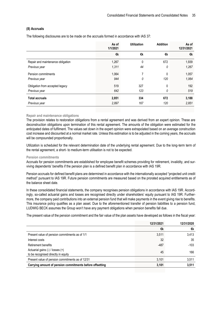#### <span id="page-34-0"></span>**(8) Accruals**

The following disclosures are to be made on the accruals formed in accordance with IAS 37:

| As of<br>1/1/2021 | <b>Utilization</b> | <b>Addition</b> | As of<br>12/31/2021 |
|-------------------|--------------------|-----------------|---------------------|
| €k                | €k                 | €k              | €k                  |
| 1,267             | 0                  | 672             | 1,939               |
| 1,311             | 44                 | 0               | 1,267               |
| 1,064             | 7                  | 0               | 1,057               |
| 944               | 0                  | 120             | 1,064               |
| 519               | 327                | 0               | 192                 |
| 642               | 123                | 0               | 519                 |
| 2,851             | 334                | 672             | 3,188               |
| 2,897             | 167                | 120             | 2,851               |
|                   |                    |                 |                     |

#### **Repair and maintenance obligations**

The provision relates to restoration obligations from a rental agreement and was derived from an expert opinion. These are deconstruction obligations upon termination of this rental agreement. The amounts of the obligation were estimated for the anticipated dates of fulfilment. The values set down in the expert opinion were extrapolated based on an average construction cost increase and discounted at a normal market rate. Unless this estimation is to be adjusted in the coming years, the accruals will be compounded proportionally.

Utilization is scheduled for the relevant determination date of the underlying rental agreement. Due to the long-term term of the rental agreement, a short- to medium-term utilisation is not to be expected.

#### **Pension commitments**

Accruals for pension commitments are established for employee benefit schemes providing for retirement, invalidity, and surviving dependents' benefits if the pension plan is a defined benefit plan in accordance with IAS 19R.

Pension accruals for defined benefit plans are determined in accordance with the internationally accepted "projected unit credit method" pursuant to IAS 19R. Future pension commitments are measured based on the prorated acquired entitlements as of the balance sheet date.

In these consolidated financial statements, the company recognises pension obligations in accordance with IAS 19R. Accordingly, so-called actuarial gains and losses are recognised directly under shareholders' equity pursuant to IAS 19R. Furthermore, the company paid contributions into an external pension fund that will make payments in the event giving rise to benefits. This insurance policy qualifies as a plan asset. Due to the aforementioned transfer of pension liabilities to a pension fund, LUDWIG BECK assumes the Group won't have any payment obligations when pension benefits fall due.

The present value of the pension commitment and the fair value of the plan assets have developed as follows in the fiscal year:

|                                                                         | 12/31/2021 | 12/31/2020 |
|-------------------------------------------------------------------------|------------|------------|
|                                                                         | €k         | €k         |
| Present value of pension commitments as of 1/1                          | 3,511      | 3,413      |
| Interest costs                                                          | 32         | 35         |
| Retirement benefits                                                     | $-487$     | $-103$     |
| Actuarial gains (-) / losses (+)<br>to be recognised directly in equity | 45         | 166        |
| Present value of pension commitments as of 12/31                        | 3,101      | 3,511      |
| Carrying amount of pension commitments before offsetting                | 3,101      | 3,511      |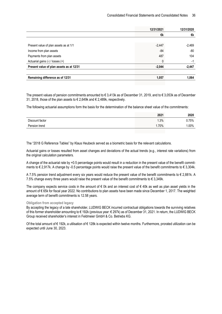| 12/31/2021 | 12/31/2020 |
|------------|------------|
| €k         | €k         |
|            |            |
| $-2,447$   | $-2,469$   |
| -84        | -80        |
| 487        | 104        |
| 0          | $-1$       |
| $-2,044$   | $-2,447$   |
|            |            |
| 1,057      | 1.064      |
|            |            |

The present values of pension commitments amounted to € 3,413k as of December 31, 2019, and to € 3,053k as of December 31, 2018, those of the plan assets to € 2,649k and € 2,489k, respectively.

The following actuarial assumptions form the basis for the determination of the balance sheet value of the commitments:

|                 | 2021    | 2020    |
|-----------------|---------|---------|
| Discount factor | .3%     | Ა.75%   |
| Pension trend   | $.70\%$ | $.00\%$ |

The "2018 G Reference Tables" by Klaus Heubeck served as a biometric basis for the relevant calculations.

Actuarial gains or losses resulted from asset changes and deviations of the actual trends (e.g., interest rate variations) from the original calculation parameters.

A change of the actuarial rate by +0.5 percentage points would result in a reduction in the present value of the benefit commitments to € 2,917k. A change by -0.5 percentage points would raise the present value of the benefit commitments to € 3,304k.

A 7.5% pension trend adjustment every six years would reduce the present value of the benefit commitments to  $\epsilon$  2.881k. A 7.5% change every three years would raise the present value of the benefit commitments to  $\epsilon$  3.349k.

The company expects service costs in the amount of  $\epsilon$  0k and an interest cost of  $\epsilon$  40k as well as plan asset yields in the amount of € 65k for fiscal year 2022. No contributions to plan assets have been made since December 1, 2017. The weighted average term of benefit commitments is 12.58 years.

#### **Obligation from accepted legacy**

By accepting the legacy of a late shareholder, LUDWIG BECK incurred contractual obligations towards the surviving relatives of this former shareholder amounting to € 192k (previous year: € 297k) as of December 31, 2021. In return, the LUDWIG BECK Group received shareholder's interest in Feldmeier GmbH & Co. Betriebs KG.

Of the total amount of € 192k, a utilisation of € 128k is expected within twelve months. Furthermore, prorated utilization can be expected until June 30, 2023.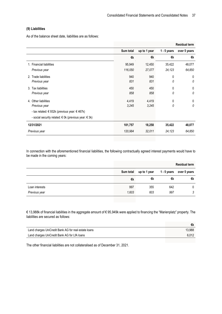#### **(9) Liabilities**

As of the balance sheet date, liabilities are as follows:

|                                                         |           |              |               | <b>Residual term</b> |
|---------------------------------------------------------|-----------|--------------|---------------|----------------------|
|                                                         | Sum total | up to 1 year | $1 - 5$ years | over 5 years         |
|                                                         | €k        | €k           | €k            | €k                   |
| 1. Financial liabilities                                | 95,949    | 12,450       | 35,422        | 48,077               |
| Previous year                                           | 116,050   | 27,077       | 24,123        | 64,850               |
| 2. Trade liabilities                                    | 940       | 940          | 0             | 0                    |
| Previous year                                           | 831       | 831          | 0             | 0                    |
| 3. Tax liabilities                                      | 450       | 450          | 0             | 0                    |
| Previous year                                           | 858       | 858          | 0             | 0                    |
| 4. Other liabilities                                    | 4,419     | 4,419        | 0             | 0                    |
| Previous year                                           | 3,245     | 3,245        | 0             | 0                    |
| - tax related: € 932k (previous year: € 467k)           |           |              |               |                      |
| - social security related: € 0k (previous year: $∈$ 3k) |           |              |               |                      |
| 12/31/2021                                              | 101,757   | 18,258       | 35,422        | 48,077               |
| Previous year                                           | 120,984   | 32,011       | 24,123        | 64,850               |

In connection with the aforementioned financial liabilities, the following contractually agreed interest payments would have to be made in the coming years:

|                |           |              |             | <b>Residual term</b> |
|----------------|-----------|--------------|-------------|----------------------|
|                | Sum total | up to 1 year | 1 - 5 years | over 5 years         |
|                | €k        | €k           | €k          | €k                   |
| Loan interests | 997       | 355          | 642         | 0                    |
| Previous year  | 1,603     | 603          | 997         | 3                    |

€ 13,988k of financial liabilities in the aggregate amount of € 95,949k were applied to financing the "Marienplatz" property. The liabilities are secured as follows:

| Land charges UniCredit Bank AG for real estate loans | 13.988 |
|------------------------------------------------------|--------|
| Land charges UniCredit Bank AG for LfA loans         | 6.012  |

The other financial liabilities are not collateralised as of December 31, 2021.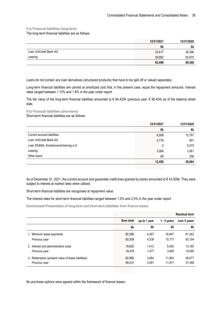**9 a) Financial liabilities (long-term)**

The long-term financial liabilities are as follows:

| 12/31/2021 | 12/31/2020 |
|------------|------------|
| €k         | €k         |
| 23,617     | 26,396     |
| 59,882     | 62,970     |
| 83,499     | 89,366     |
|            |            |

Loans do not contain any loan derivatives (structured products) that have to be split off or valued separately.

Long-term financial liabilities are carried at amortized cost that, in the present case, equal the repayment amounts. Interest rates ranged between 1.10% and 1.8% in the year under report.

The fair value of the long-term financial liabilities amounted to  $\epsilon$  84,425k (previous year:  $\epsilon$  90,424) as of the balance sheet date.

**9 b) Financial liabilities (short-term)** Short-term financial liabilities are as follows:

|                                      | 12/31/2021 | 12/31/2020 |
|--------------------------------------|------------|------------|
|                                      | €k         | €k         |
| Current account liabilities          | 6,508      | 12,791     |
| Loan UniCredit Bank AG               | 2,778      | 901        |
| Loan SIGNAL Krankenversicherung a.G. | 0          | 9,575      |
| Leasing                              | 3,084      | 3,061      |
| Other loans                          | 80         | 356        |
|                                      | 12,450     | 26,684     |

As of December 31, 2021, the current account and guarantee credit lines granted by banks amounted to € 43,000k. They were subject to interest at market rates when utilized.

Short-term financial liabilities are recognised at repayment value.

The interest rates for short-term financial liabilities ranged between 1.0% and 2.0% in the year under report.

**Summarized Presentation of long-term and short-term liabilities from finance leases**

|                                                    |           |              |               | <b>Residual term</b> |
|----------------------------------------------------|-----------|--------------|---------------|----------------------|
|                                                    | Sum total | up to 1 year | $1 - 5$ years | over 5 years         |
|                                                    | €k        | €k           | €k            | €k                   |
| 1. Minimum lease payments                          | 82,586    | 4.497        | 16,847        | 61,242               |
| Previous year                                      | 85,509    | 4.538        | 15.777        | 65,194               |
| 2. Interest and administrative costs               | 19.620    | 1.413        | 5.042         | 13.165               |
| Previous year                                      | 19,478    | 1,477        | 3,906         | 14.095               |
| 3. Redemption (present value of lease liabilities) | 62,966    | 3.084        | 11.804        | 48,077               |
| Previous year                                      | 66,031    | 3.061        | 11.871        | 51,099               |

No purchase options were agreed within the framework of finance leases.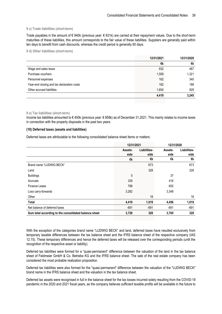#### **9 c) Trade liabilities (short-term)**

Trade payables in the amount of  $\epsilon$  940k (previous year:  $\epsilon$  831k) are carried at their repayment values. Due to the short-term maturities of these liabilities, this amount corresponds to the fair value of these liabilities. Suppliers are generally paid within ten days to benefit from cash discounts, whereas the credit period is generally 60 days.

#### **9 d) Other liabilities (short-term)**

|                                            | 12/31/2021 | 12/31/2020 |
|--------------------------------------------|------------|------------|
|                                            | €k         | €k         |
| Wage and sales taxes                       | 932        | 467        |
| Purchase vouchers                          | 1,509      | 1,321      |
| Personnel expenses                         | 162        | 340        |
| Year-end closing and tax declaration costs | 162        | 188        |
| Other accrued liabilities                  | 1,654      | 929        |
|                                            | 4,419      | 3,245      |

#### **9 e) Tax liabilities (short-term)**

Income tax liabilities amounted to € 450k (previous year: € 858k) as of December 31,2021. This mainly relates to income taxes in connection with the property disposals in the past two years.

#### **(10) Deferred taxes (assets and liabilities)**

Deferred taxes are attributable to the following consolidated balance sheet items or matters:

|                                                       | 12/31/2021 |              | 12/31/2020 |              |
|-------------------------------------------------------|------------|--------------|------------|--------------|
|                                                       | Assets-    | Liabilities- | Assets-    | Liabilities- |
|                                                       | side       | side         | side       | side         |
|                                                       | €k         | €k           | €k         | €k           |
| Brand name "LUDWIG BECK"                              |            | 673          |            | 673          |
| Land                                                  |            | 328          |            | 328          |
| <b>Buildings</b>                                      | 0          |              | 37         |              |
| Accruals                                              | 339        |              | 416        |              |
| Finance Lease                                         | 798        |              | 655        |              |
| Loss carry-forwards                                   | 3,282      |              | 3,348      |              |
| Other                                                 |            | 18           |            | 18           |
| Total                                                 | 4,419      | 1,019        | 4,456      | 1,019        |
| Net balance of deferred taxes                         | $-691$     | $-691$       | $-691$     | $-691$       |
| Sum total according to the consolidated balance sheet | 3,728      | 328          | 3,765      | 328          |

With the exception of the categories brand name "LUDWIG BECK" and land, deferred taxes have resulted exclusively from temporary taxable differences between the tax balance sheet and the IFRS balance sheet of the respective company (IAS 12.15). These temporary differences and hence the deferred taxes will be released over the corresponding periods (until the recognition of the respective asset or liability).

Deferred tax liabilities were formed for a "quasi-permanent" difference between the valuation of the land in the tax balance sheet of Feldmeier GmbH & Co. Betriebs KG and the IFRS balance sheet. The sale of the real estate company has been considered the most probable realization proposition.

Deferred tax liabilities were also formed for the "quasi-permanent" difference between the valuation of the "LUDWIG BECK" brand name in the IFRS balance sheet and the valuation in the tax balance sheet.

Deferred tax assets were recognised in full in the balance sheet for the tax losses incurred solely resulting from the COVID-19 pandemic in the 2020 and 2021 fiscal years, as the company believes sufficient taxable profits will be available in the future to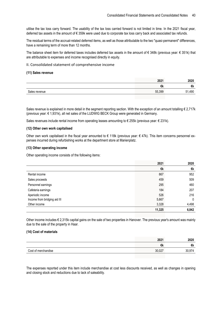utilise the tax loss carry forward. The usability of the tax loss carried forward is not limited in time. In the 2021 fiscal year, deferred tax assets in the amount of € 359k were used due to corporate tax loss carry back and associated tax refunds.

The residual terms of the accrual-related deferred items, as well as those attributable to the two "quasi-permanent" differences, have a remaining term of more than 12 months.

The balance sheet item for deferred taxes includes deferred tax assets in the amount of € 348k (previous year: € 351k) that are attributable to expenses and income recognised directly in equity.

II. Consolidated statement of comprehensive income

#### **(11) Sales revenue**

|               | 2021   | 2020                     |
|---------------|--------|--------------------------|
|               | €k     | €k                       |
| Sales revenue | 55,399 | 51,490<br>$\mathbf{v}$ . |

Sales revenue is explained in more detail in the segment reporting section. With the exception of an amount totalling  $\epsilon$  2,717k (previous year: € 1,931k), all net sales of the LUDWIG BECK Group were generated in Germany.

Sales revenues include rental income from operating leases amounting to € 255k (previous year: € 231k).

#### **(12) Other own work capitalised**

Other own work capitalised in the fiscal year amounted to  $\epsilon$  118k (previous year:  $\epsilon$  47k). This item concerns personnel expenses incurred during refurbishing works at the department store at Marienplatz.

#### **(13) Other operating income**

Other operating income consists of the following items:

|                              | 2021   | 2020  |
|------------------------------|--------|-------|
|                              | €k     | €k    |
| Rental income                | 867    | 952   |
| Sales proceeds               | 459    | 509   |
| Personnel earnings           | 295    | 460   |
| Cafeteria earnings           | 184    | 207   |
| Aperiodic income             | 526    | 216   |
| Income from bridging aid III | 5,667  | 0     |
| Other income                 | 3,328  | 4,498 |
|                              | 11,325 | 6,842 |

Other income includes € 2,315k capital gains on the sale of two properties in Hanover. The previous year's amount was mainly due to the sale of the property in Haar.

#### **(14) Cost of materials**

|                     | 2021   | 2020   |
|---------------------|--------|--------|
|                     | €k     | €k     |
| Cost of merchandise | 30,027 | 20.074 |

The expenses reported under this item include merchandise at cost less discounts received, as well as changes in opening and closing stock and reductions due to lack of saleability.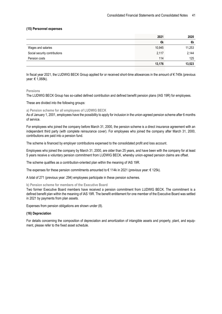#### **(15) Personnel expenses**

|                               | 2021   | 2020   |
|-------------------------------|--------|--------|
|                               | €k     | €k     |
| Wages and salaries            | 10,945 | 11,253 |
| Social security contributions | 2,117  | 2,144  |
| Pension costs                 | 114    | 125    |
|                               | 13,176 | 13,523 |

In fiscal year 2021, the LUDWIG BECK Group applied for or received short-time allowances in the amount of € 745k (previous year: € 1,068k).

#### **Pensions**

The LUDWIG BECK Group has so-called defined contribution and defined benefit pension plans (IAS 19R) for employees.

#### These are divided into the following groups:

#### **a) Pension scheme for all employees of LUDWIG BECK**

As of January 1, 2001, employees have the possibility to apply for inclusion in the union-agreed pension scheme after 6 months of service.

For employees who joined the company before March 31, 2000, the pension scheme is a direct insurance agreement with an independent third party (with complete reinsurance cover). For employees who joined the company after March 31, 2000, contributions are paid into a pension fund.

The scheme is financed by employer contributions expensed to the consolidated profit and loss account.

Employees who joined the company by March 31, 2000, are older than 25 years, and have been with the company for at least 5 years receive a voluntary pension commitment from LUDWIG BECK, whereby union-agreed pension claims are offset.

The scheme qualifies as a contribution-oriented plan within the meaning of IAS 19R.

The expenses for these pension commitments amounted to  $\epsilon$  114k in 2021 (previous year:  $\epsilon$  125k).

A total of 271 (previous year: 294) employees participate in these pension schemes.

#### **b) Pension scheme for members of the Executive Board**

Two former Executive Board members have received a pension commitment from LUDWIG BECK. The commitment is a defined benefit plan within the meaning of IAS 19R. The benefit entitlement for one member of the Executive Board was settled in 2021 by payments from plan assets.

Expenses from pension obligations are shown under (8).

#### **(16) Depreciation**

For details concerning the composition of depreciation and amortization of intangible assets and property, plant, and equipment, please refer to the fixed asset schedule.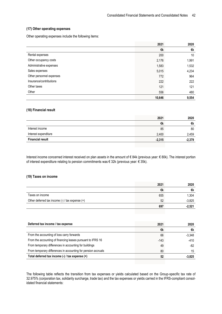#### **(17) Other operating expenses**

Other operating expenses include the following items:

|                          | 2021   | 2020  |
|--------------------------|--------|-------|
|                          | €k     | €k    |
| Rental expenses          | 200    | 10    |
| Other occupancy costs    | 2,176  | 1,991 |
| Administrative expenses  | 1,583  | 1,532 |
| Sales expenses           | 5,015  | 4,234 |
| Other personnel expenses | 772    | 964   |
| Insurance/contributions  | 222    | 222   |
| Other taxes              | 121    | 121   |
| Other                    | 556    | 480   |
|                          | 10,646 | 9,554 |

#### **(18) Financial result**

|                         | 2021     | 2020     |
|-------------------------|----------|----------|
|                         | €k       | €k       |
| Interest income         | 85       | 80       |
| Interest expenditure    | 2,400    | 2,459    |
| <b>Financial result</b> | $-2,315$ | $-2,379$ |

Interest income concerned interest received on plan assets in the amount of € 84k (previous year: € 80k). The interest portion of interest expenditure relating to pension commitments was € 32k (previous year: € 35k).

#### **(19) Taxes on income**

|                                                     | 2021 | 2020     |
|-----------------------------------------------------|------|----------|
|                                                     | €k   | €k       |
| Taxes on income                                     | 655  | 1,304    |
| Other deferred tax income $(-)$ / tax expense $(+)$ | 52   | $-3,825$ |
|                                                     | 697  | $-2,521$ |
|                                                     |      |          |

| Deferred tax income / tax expense                             | 2021   | 2020     |
|---------------------------------------------------------------|--------|----------|
|                                                               | €k     | €k       |
| From the accounting of loss carry forwards                    | 66     | $-3,348$ |
| From the accounting of financing leases pursuant to IFRS 16   | $-143$ | $-410$   |
| From temporary differences in accounting for buildings        | 49     | -82      |
| From temporary differences in accounting for pension accruals | 80     | 15       |
| Total deferred tax income (-) / tax expense (+)               | 52     | $-3,825$ |

The following table reflects the transition from tax expenses or yields calculated based on the Group-specific tax rate of 32.975% (corporation tax, solidarity surcharge, trade tax) and the tax expenses or yields carried in the IFRS-compliant consolidated financial statements: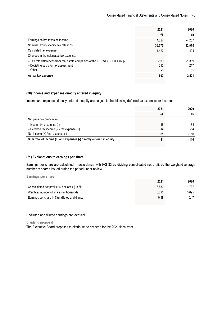| 2021   | 2020     |
|--------|----------|
| €k     | €k       |
| 4,327  | $-4,257$ |
| 32.975 | 32.975   |
| 1,427  | $-1,404$ |
|        |          |
| $-939$ | $-1,389$ |
| 212    | 217      |
| -3     | 55       |
| 697    | $-2,521$ |
|        |          |

#### **(20) Income and expenses directly entered in equity**

Income and expenses directly entered inequity are subject to the following deferred tax expenses or income:

|       | 2020   |
|-------|--------|
| €k    | €k     |
|       |        |
| -45   | $-164$ |
| -14   | -54    |
| -31   | $-110$ |
| $-31$ | $-110$ |
|       | 2021   |

#### **(21) Explanations to earnings per share**

Earnings per share are calculated in accordance with IAS 33 by dividing consolidated net profit by the weighted average number of shares issued during the period under review.

**Earnings per share**

| 2021  | 2020     |
|-------|----------|
| 3.630 | $-1.737$ |
| 3.695 | 3.695    |
| 0.98  | $-0.47$  |
|       |          |

Undiluted and diluted earnings are identical.

**Dividend proposal**

The Executive Board proposes to distribute no dividend for the 2021 fiscal year.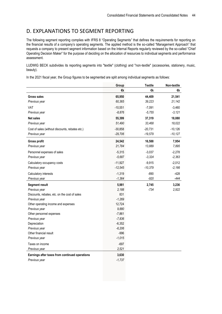## D. EXPLANATIONS TO SEGMENT REPORTING

The following segment reporting complies with IFRS 8 "Operating Segments" that defines the requirements for reporting on the financial results of a company's operating segments. The applied method is the so-called "Management Approach" that requests a company to present segment information based on the Internal Reports regularly reviewed by the so-called "Chief Operating Decision Maker" for the purpose of deciding on the allocation of resources to individual segments and performance assessment.

LUDWIG BECK subdivides its reporting segments into "textile" (clothing) and "non-textile" (accessories, stationery, music, beauty).

In the 2021 fiscal year, the Group figures to be segmented are split among individual segments as follows:

|                                                 | Group     | <b>Textile</b> | Non-textile |
|-------------------------------------------------|-----------|----------------|-------------|
|                                                 | €k        | €k             | €k          |
| <b>Gross sales</b>                              | 65,950    | 44,409         | 21,541      |
| Previous year                                   | 60,365    | 39,223         | 21,142      |
| VAT                                             | $-10,551$ | $-7,091$       | $-3,460$    |
| Previous year                                   | $-8,876$  | $-5,755$       | $-3,121$    |
| <b>Net sales</b>                                | 55,399    | 37,319         | 18,080      |
| Previous year                                   | 51,490    | 33,468         | 18,022      |
| Cost of sales (without discounts, rebates etc.) | $-30,858$ | $-20,731$      | $-10,126$   |
| Previous year                                   | $-29,706$ | $-19,579$      | $-10,127$   |
| <b>Gross profit</b>                             | 24,542    | 16,588         | 7,954       |
| Previous year                                   | 21,784    | 13,889         | 7,895       |
| Personnel expenses of sales                     | $-5,315$  | $-3,037$       | $-2,278$    |
| Previous year                                   | $-5,687$  | $-3,324$       | $-2,363$    |
| Calculatory occupancy costs                     | $-11,927$ | $-9,915$       | $-2,012$    |
| Previous year                                   | $-12,545$ | $-10,379$      | $-2,166$    |
| Calculatory interests                           | $-1,319$  | $-890$         | $-428$      |
| Previous year                                   | $-1,364$  | $-920$         | $-444$      |
| <b>Segment result</b>                           | 5,981     | 2,745          | 3,236       |
| Previous year                                   | 2,188     | $-734$         | 2,922       |
| Discounts, rebates, etc. on the cost of sales   | 831       |                |             |
| Previous year                                   | $-1,269$  |                |             |
| Other operating income and expenses             | 12,724    |                |             |
| Previous year                                   | 9,880     |                |             |
| Other personnel expenses                        | $-7,861$  |                |             |
| Previous year                                   | $-7,836$  |                |             |
| Depreciation                                    | $-6,352$  |                |             |
| Previous year                                   | $-6,206$  |                |             |
| Other financial result                          | $-996$    |                |             |
| Previous year                                   | $-1,015$  |                |             |
| Taxes on income                                 | $-697$    |                |             |
| Previous year                                   | 2,521     |                |             |
| Earnings after taxes from continued operations  | 3,630     |                |             |
| Previous year                                   | $-1,737$  |                |             |
|                                                 |           |                |             |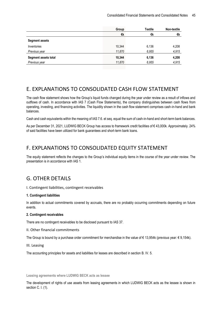|                       | Group  | Textile | Non-textile |
|-----------------------|--------|---------|-------------|
|                       | €k     | €k      | €k          |
| <b>Segment assets</b> |        |         |             |
| Inventories           | 10,344 | 6,136   | 4,208       |
| Previous year         | 11,870 | 6,955   | 4,915       |
| Segment assets total  | 10,344 | 6,136   | 4,208       |
| Previous year         | 11,870 | 6,955   | 4,915       |

## E. EXPLANATIONS TO CONSOLIDATED CASH FLOW STATEMENT

The cash flow statement shows how the Group's liquid funds changed during the year under review as a result of inflows and outflows of cash. In accordance with IAS 7 (Cash Flow Statements), the company distinguishes between cash flows from operating, investing, and financing activities. The liquidity shown in the cash flow statement comprises cash-in-hand and bank balances.

Cash and cash equivalents within the meaning of IAS 7.6. et seq. equal the sum of cash-in-hand and short-term bank balances.

As per December 31, 2021, LUDWIG BECK Group has access to framework credit facilities of € 43,000k. Approximately. 24% of said facilities have been utilized for bank guarantees and short-term bank loans.

## F. EXPLANATIONS TO CONSOLIDATED EQUITY STATEMENT

The equity statement reflects the changes to the Group's individual equity items in the course of the year under review. The presentation is in accordance with IAS 1.

## G. OTHER DETAILS

I. Contingent liabilities, contingent receivables

#### **1. Contingent liabilities**

In addition to actual commitments covered by accruals, there are no probably occurring commitments depending on future events.

#### **2. Contingent receivables**

There are no contingent receivables to be disclosed pursuant to IAS 37.

II. Other financial commitments

The Group is bound by a purchase order commitment for merchandise in the value of € 13,954k (previous year: € 9,154k).

III. Leasing

The accounting principles for assets and liabilities for leases are described in section B. IV. 5.

**Leasing agreements where LUDWIG BECK acts as lessee**

The development of rights of use assets from leasing agreements in which LUDWIG BECK acts as the lessee is shown in section C. I. (1).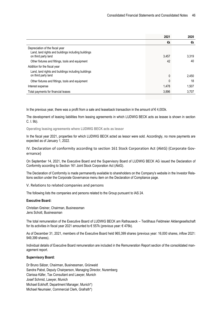|                                                                                                               | 2021  | 2020  |
|---------------------------------------------------------------------------------------------------------------|-------|-------|
|                                                                                                               | €k    | €k    |
| Depreciation of the fiscal year<br>Land, land rights and buildings including buildings<br>on third party land | 3,457 | 3,319 |
|                                                                                                               |       | 40    |
| Other fixtures and fittings, tools and equipment                                                              | 42    |       |
| Addition for the fiscal year                                                                                  |       |       |
| Land, land rights and buildings including buildings<br>on third party land                                    | 0     | 2,450 |
| Other fixtures and fittings, tools and equipment                                                              | 0     | 18    |
| Interest expense                                                                                              | 1,478 | 1.507 |
| Total payments for financial leases                                                                           | 3,896 | 3,707 |

In the previous year, there was a profit from a sale and leaseback transaction in the amount of  $\epsilon$  4,003k.

The development of leasing liabilities from leasing agreements in which LUDWIG BECK acts as lessee is shown in section C. I. 9b).

**Operating leasing agreements where LUDWIG BECK acts as lessor**

In the fiscal year 2021, properties for which LUDWIG BECK acted as lessor were sold. Accordingly, no more payments are expected as of January 1, 2022.

IV. Declaration of conformity according to section 161 Stock Corporation Act (AktG) (Corporate Governance)

On September 14, 2021, the Executive Board and the Supervisory Board of LUDWIG BECK AG issued the Declaration of Conformity according to Section 161 Joint Stock Corporation Act (AktG).

The Declaration of Conformity is made permanently available to shareholders on the Company's website in the Investor Relations section under the Corporate Governance menu item on the Declaration of Compliance page.

V. Relations to related companies and persons

The following lists the companies and persons related to the Group pursuant to IAS 24.

#### **Executive Board:**

Christian Greiner, Chairman, Businessman Jens Schott, Businessman

The total remuneration of the Executive Board of LUDWIG BECK am Rathauseck – Textilhaus Feldmeier Aktiengesellschaft for its activities in fiscal year 2021 amounted to € 557k (previous year:  $∈$  476k).

As of December 31, 2021, members of the Executive Board held 965,399 shares (previous year: 16,000 shares, inflow 2021: 949,399 shares).

Individual details of Executive Board remuneration are included in the Remuneration Report section of the consolidated management report.

#### **Supervisory Board:**

Dr Bruno Sälzer, Chairman, Businessman, Grünwald Sandra Pabst, Deputy Chairperson, Managing Director, Nuremberg Clarissa Käfer, Tax Consultant and Lawyer, Munich Josef Schmid, Lawyer, Munich Michael Eckhoff, Department Manager, Munich\*) Michael Neumaier, Commercial Clerk, Grafrath\*)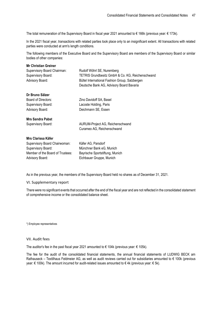The total remuneration of the Supervisory Board in fiscal year 2021 amounted to € 166k (previous year: € 173k).

In the 2021 fiscal year, transactions with related parties took place only to an insignificant extent. All transactions with related parties were conducted at arm's length conditions.

The following members of the Executive Board and the Supervisory Board are members of the Supervisory Board or similar bodies of other companies:

| Rudolf Wöhrl SE, Nuremberg                                                                 |
|--------------------------------------------------------------------------------------------|
| TETRIS Grundbesitz GmbH & Co. KG, Reichenschwand                                           |
| Bültel International Fashion Group, Salzbergen<br>Deutsche Bank AG, Advisory Board Bavaria |
|                                                                                            |
| Zino Davidoff SA, Basel                                                                    |
| Lacoste Holding, Paris                                                                     |
| Deichmann SE, Essen                                                                        |
|                                                                                            |
| AURUM-Project AG, Reichenschwand                                                           |
| Curameo AG, Reichenschwand                                                                 |
|                                                                                            |
| Käfer AG, Parsdorf                                                                         |
| Münchner Bank eG, Munich                                                                   |
|                                                                                            |
| Bayrische Sportstiftung, Munich                                                            |
|                                                                                            |

As in the previous year, the members of the Supervisory Board held no shares as of December 31, 2021.

#### VI. Supplementary report

There were no significant events that occurred after the end of the fiscal year and are not reflected in the consolidated statement of comprehensive income or the consolidated balance sheet.

\*) Employee representatives

#### VII. Audit fees

The auditor's fee in the past fiscal year 2021 amounted to  $\epsilon$  104k (previous year:  $\epsilon$  105k).

The fee for the audit of the consolidated financial statements, the annual financial statements of LUDWIG BECK am Rathauseck – Textilhaus Feldmeier AG, as well as audit reviews carried out for subsidiaries amounted to € 100k (previous year: € 100k). The amount incurred for audit-related issues amounted to € 4k (previous year: € 5k).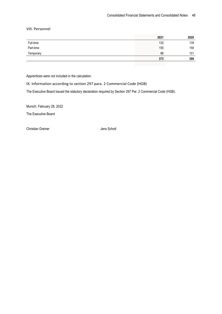VIII. Personnel

|           |     | 2020 |
|-----------|-----|------|
| Full-time | 132 | 139  |
| Part-time | 155 | 158  |
| Temporary | 86  | 101  |
|           | 373 | 398  |

Apprentices were not included in the calculation.

IX. Information according to section 297 para. 2 Commercial Code (HGB)

The Executive Board issued the statutory declaration required by Section 297 Par. 2 Commercial Code (HGB).

Munich, February 28, 2022

The Executive Board

Christian Greiner **Jens Schott**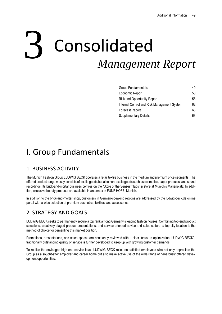# Consolidated *Management Report* 3

| Group Fundamentals                          | 49 |
|---------------------------------------------|----|
| Economic Report                             | 50 |
| <b>Risk and Opportunity Report</b>          | 58 |
| Internal Control and Risk Management System | 62 |
| Forecast Report                             | 63 |
| <b>Supplementary Details</b>                | 63 |

# I. Group Fundamentals

## 1. BUSINESS ACTIVITY

The Munich Fashion Group LUDWIG BECK operates a retail textile business in the medium and premium price segments. The offered product range mostly consists of textile goods but also non-textile goods such as cosmetics, paper products, and sound recordings. Its brick-and-mortar business centres on the "Store of the Senses" flagship store at Munich's Marienplatz. In addition, exclusive beauty products are available in an annex in FÜNF HÖFE, Munich.

In addition to the brick-and-mortar shop, customers in German-speaking regions are addressed by the ludwig-beck.de online portal with a wide selection of premium cosmetics, textiles, and accessories.

## 2. STRATEGY AND GOALS

LUDWIG BECK seeks to permanently secure a top rank among Germany's leading fashion houses. Combining top-end product selections, creatively staged product presentations, and service-oriented advice and sales culture, a top city location is the method of choice for cementing this market position.

Promotions, presentations, and sales spaces are constantly reviewed with a clear focus on optimization. LUDWIG BECK's traditionally outstanding quality of service is further developed to keep up with growing customer demands.

To realize the envisaged high-end service level, LUDWIG BECK relies on satisfied employees who not only appreciate the Group as a sought-after employer and career home but also make active use of the wide range of generously offered development opportunities.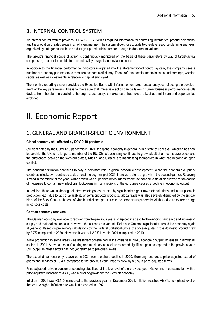## 3. INTERNAL CONTROL SYSTEM

An internal control system provides LUDWIG BECK with all required information for controlling inventories, product selections, and the allocation of sales areas in an efficient manner. The system allows for accurate to-the-date resource planning analyses, organized by categories, such as product group and article number through to department volume.

The Group's financial scope of action is continuously monitored on the basis of these parameters by way of target-actual comparison, in order to be able to respond swiftly if significant deviations occur.

In addition to the financial performance indicators integrated into the aforementioned control system, the company uses a number of other key parameters to measure economic efficiency. These refer to developments in sales and earnings, working capital as well as investments in relation to capital employed.

The monthly reporting system provides the Executive Board with information on target-actual analyses reflecting the development of the key parameters. This is to make sure that immediate action can be taken if current business performance results deviate from the plan. In parallel, a thorough cause analysis makes sure that risks are kept at a minimum and opportunities exploited.

## II. Economic Report

## 1. GENERAL AND BRANCH-SPECIFIC ENVIRONMENT

#### **Global economy still affected by COVID 19 pandemic**

Still dominated by the COVID-19 pandemic in 2021, the global economy in general is in a state of upheaval. America has new leadership, the UK is no longer a member of the EU, China's economy continues to grow, albeit at a much slower pace, and the differences between the Western states, Russia, and Ukraine are manifesting themselves in what has become an open conflict.

The pandemic situation continues to play a dominant role in global economic development. While the economic output of countries in lockdown continued to decline at the beginning of 2021, there were signs of growth in the second quarter. Recovery slowed in the middle of the year. While growth was supported by countries where the pandemic situation allowed for an easing of measures to contain new infections, lockdowns in many regions of the euro area caused a decline in economic output.

In addition, there was a shortage of intermediate goods, caused by significantly higher raw material prices and interruptions in production, e.g., due to lack of availability of semiconductor products. Global trade was also severely disrupted by the six-day block of the Suez Canal at the end of March and closed ports due to the coronavirus pandemic. All this led to an extreme surge in logistics costs.

#### **German economy recovers**

The German economy was able to recover from the previous year's sharp decline despite the ongoing pandemic and increasing supply and material bottlenecks. However, the coronavirus variants Delta and Omicron significantly curbed the economy again at year end. Based on preliminary calculations by the Federal Statistical Office, the price-adjusted gross domestic product grew by 2.7% compared to 2020. However, it was still 2.0% lower in 2021 compared to 2019.

While production in some areas was massively constrained in the crisis year 2020, economic output increased in almost all sectors in 2021. Above all, manufacturing and most service sectors recorded significant gains compared to the previous year. Still, output in most sectors has not yet returned to pre-crisis levels.

The export-driven economy recovered in 2021 from the sharp decline in 2020. Germany recorded a price-adjusted export of goods and services of +9.4% compared to the previous year. Imports grew by 8.6 % in price-adjusted terms.

Price-adjusted, private consumer spending stabilised at the low level of the previous year. Government consumption, with a price-adjusted increase of 3.4%, was a pillar of growth for the German economy.

Inflation in 2021 was +3.1 % compared to the previous year. In December 2021, inflation reached +5.3%, its highest level of the year. A higher inflation rate was last recorded in 1992.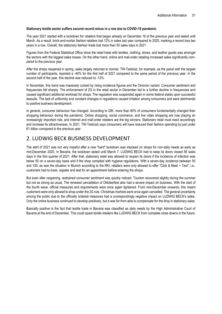#### **Stationary textile sector suffers second record minus in a row due to COVID-19 pandemic**

The year 2021 started with a lockdown for retailers that began already on December 16 of the previous year and lasted until March. As a result, brick-and-mortar fashion retailers lost 12% in sales last year compared to 2020, marking a record loss two years in a row. Overall, the stationary fashion trade lost more than 50 sales days in 2021.

Figures from the Federal Statistical Office show the retail trade with textiles, clothing, shoes, and leather goods was amongst the sectors with the biggest sales losses. On the other hand, online and mail-order retailing increased sales significantly compared to the previous year.

After the shops reopened in spring, sales largely returned to normal. TW-Testclub, for example, as the panel with the largest number of participants, reported a -40% for the first half of 2021 compared to the same period of the previous year. In the second half of the year, this decline was reduced to -12%.

In November, this trend was massively curbed by rising incidence figures and the Omicron variant. Consumer sentiment and frequencies fell sharply. The enforcement of 2G in the retail sector in December led to a further decline in frequencies and caused significant additional workload for shops. The regulation was suspended again in some federal states upon successful lawsuits. The lack of uniformity and constant changes in regulations caused irritation among consumers and were detrimental to positive business development.

In general, consumer behaviour has changed. According to GfK, more than 80% of consumers fundamentally changed their shopping behaviour during the pandemic. Online shopping, social commerce, and live video shopping are now playing an increasingly important role, and internet and mail-order retailers are the big winners. Stationary retail must react accordingly and increase its attractiveness. In 2021, TW-Testclub says consumers will have reduced their fashion spending by just under €1 billion compared to the previous year.

## 2. LUDWIG BECK BUSINESS DEVELOPMENT

The start of 2021 was not very hopeful after a new "hard" lockdown was imposed on shops for non-daily needs as early as mid-December 2020. In Bavaria, the lockdown lasted until March 7. LUDWIG BECK had to keep its doors closed 56 sales days in the first quarter of 2021. After that, stationary retail was allowed to reopen its doors if the incidence of infection was below 50 on a seven-day basis and if the shop complied with hygiene regulations. With a seven-day incidence between 50 and 100, as was the situation in Munich according to the RKI, retailers were only allowed to offer "Click & Meet + Test", i.e., customers had to book, register and test for an appointment before entering the shops.

But even after reopening, restrained consumer sentiment was quickly noticed. Tourism recovered slightly during the summer but not as strong as usual. The renewed cancellation of Oktoberfest also had a severe impact on business. With the start of the fourth wave, official measures and requirements were once again tightened. From mid-December onwards, this meant customers were only allowed to shop under the 2G rule. Christmas markets were once again cancelled. The general uncertainty among the public due to the officially ordered measures had a correspondingly negative impact on LUDWIG BECK's sales. Only the online business continued to develop positively, but it was far from able to compensate for the drop in stationary sales.

Basically positive is the fact that textile trade in Bavaria was classified as daily needs by the High Administrative Court of Bavaria at the end of December. This could spare textile retailers like LUDWIG BECK from complete close downs in the future.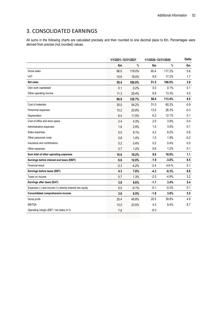## 3. CONSOLIDATED EARNINGS

All sums in the following charts are calculated precisely and then rounded to one decimal place to €m. Percentages were derived from precise (not rounded) values.

|                                                          | 1/1/2021-12/31/2021 |         | 1/1/2020-12/31/2020 |           | <b>Delta</b> |
|----------------------------------------------------------|---------------------|---------|---------------------|-----------|--------------|
|                                                          | €m                  | $\%$    | €m                  | $\%$      | €m           |
| Gross sales                                              | 66.0                | 119.0%  | 60.4                | 117.2%    | 5.6          |
| VAT                                                      | 10.6                | 19.0%   | 8.9                 | 17.2%     | 1.7          |
| Net sales                                                | 55.4                | 100.0%  | 51.5                | 100.0%    | 3.9          |
| Own work capitalised                                     | 0.1                 | 0.2%    | 0.0                 | 0.1%      | 0.1          |
| Other operating income                                   | 11.3                | 20.4%   | 6.8                 | 13.3%     | 4.5          |
|                                                          | 66.8                | 120.7%  | 58.4                | 113.4%    | 8.5          |
| Cost of materials                                        | 30.0                | 54.2%   | 31.0                | 60.2%     | $-0.9$       |
| Personnel expenses                                       | 13.2                | 23.8%   | 13.5                | 26.3%     | $-0.3$       |
| Depreciation                                             | 6.4                 | 11.5%   | 6.2                 | 12.1%     | 0.1          |
| Cost of office and store space                           | 2.4                 | 4.3%    | 2.0                 | 3.9%      | 0.4          |
| Administrative expenses                                  | 1.6                 | 2.9%    | 1.5                 | 3.0%      | 0.1          |
| Sales expenses                                           | 5.0                 | 9.1%    | 4.2                 | 8.2%      | 0.8          |
| Other personnel costs                                    | 0.8                 | 1.4%    | 1.0                 | 1.9%      | $-0.2$       |
| Insurance and contributions                              | 0.2                 | 0.4%    | 0.2                 | 0.4%      | 0.0          |
| Other expenses                                           | 0.7                 | 1.2%    | 0.6                 | 1.2%      | 0.1          |
| Sum total of other operating expenses                    | 10.6                | 19.2%   | 9.6                 | 18.6%     | 1.1          |
| Earnings before interest and taxes (EBIT)                | 6.6                 | 12.0%   | $-1.9$              | $-3.6%$   | 8.5          |
| <b>Financial result</b>                                  | $-2.3$              | $-4.2%$ | $-2.4$              | $4.6 - %$ | 0.1          |
| Earnings before taxes (EBT)                              | 4.3                 | 7.8%    | $-4.3$              | $-8.3%$   | 8.6          |
| Taxes on income                                          | 0.7                 | 1.3%    | $-2.5$              | $-4.9%$   | 3.2          |
| Earnings after taxes (EAT)                               | 3.6                 | 6.6%    | $-1.7$              | 3.4%      | 5.4          |
| Expenses (-) and income (+) directly entered into equity | 0.0                 | $-0.1%$ | $-0.1$              | $-0.2%$   | 0.1          |
| Consolidated comprehensive income                        | 3.6                 | 6.5%    | $-1.8$              | 3.6%      | 5.5          |
| Gross profit                                             | 25.4                | 45.8%   | 20.5                | 39.8%     | 4.9          |
| <b>EBITDA</b>                                            | 13.0                | 23.5%   | 4.3                 | 8.4%      | 8.7          |
| Operating margin (EBT / net sales) in %                  | 7.8                 |         | $-8.3$              |           |              |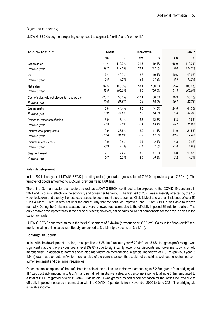#### Segment reporting

LUDWIG BECK's segment reporting comprises the segments "textile" and "non-textile":

| 1/1/2021-12/31/2021                            | <b>Textile</b> |         | Non-textile |        | Group   |        |
|------------------------------------------------|----------------|---------|-------------|--------|---------|--------|
|                                                | €m             | $\%$    | €m          | $\%$   | €m      | $\%$   |
| Gross sales                                    | 44.4           | 119.0%  | 21.5        | 119.1% | 66.0    | 119.0% |
| Previous year                                  | 39.2           | 117.2%  | 21.1        | 117.3% | 60.4    | 117.2% |
| VAT                                            | $-7.1$         | 19.0%   | $-3.5$      | 19.1%  | $-10.6$ | 19.0%  |
| Previous year                                  | $-5.8$         | 17.2%   | $-3.1$      | 17.3%  | $-8.9$  | 17.2%  |
| <b>Net sales</b>                               | 37.3           | 100.0%  | 18.1        | 100.0% | 55.4    | 100.0% |
| Previous year                                  | 33.5           | 100.0%  | 18.0        | 100.0% | 51.5    | 100.0% |
| Cost of sales (without discounts, rebates etc) | $-20.7$        | 55.6%   | $-10.1$     | 56.0%  | $-30.9$ | 55.7%  |
| Previous year                                  | $-19.6$        | 58.5%   | $-10.1$     | 56.2%  | $-29.7$ | 57.7%  |
| <b>Gross profit</b>                            | 16.6           | 44.4%   | 8.0         | 44.0%  | 24.5    | 44.3%  |
| Previous year                                  | 13.9           | 41.5%   | 7.9         | 43.8%  | 21.8    | 42.3%  |
| Personnel expenses of sales                    | $-3.0$         | 8.1%    | $-2.3$      | 12.6%  | $-5.3$  | 9.6%   |
| Previous year                                  | $-3.3$         | 9.9%    | $-2.4$      | 13.1%  | $-5.7$  | 11.0%  |
| Imputed occupancy costs                        | $-9.9$         | 26.6%   | $-2.0$      | 11.1%  | $-11.9$ | 21.5%  |
| Previous year                                  | $-10.4$        | 31.0%   | $-2.2$      | 12.0%  | $-12.5$ | 24.4%  |
| Imputed interest costs                         | $-0.9$         | 2.4%    | $-0.4$      | 2.4%   | $-1.3$  | 2.4%   |
| Previous year                                  | $-0.9$         | 2.7%    | $-0.4$      | 2.5%   | $-1.4$  | 2.6%   |
| <b>Segment result</b>                          | 2.7            | 7.4%    | 3.2         | 17.9%  | 6.0     | 10.8%  |
| Previous year                                  | $-0.7$         | $-2.2%$ | 2.9         | 16.2%  | 2.2     | 4.2%   |

#### Sales development

In the 2021 fiscal year, LUDWIG BECK (including online) generated gross sales of € 66.0m (previous year: € 60.4m). The turnover of goods amounted to  $\epsilon$  65.6m (previous year:  $\epsilon$  60.1m).

The entire German textile retail sector, as well as LUDWIG BECK, continued to be exposed to the COVID-19 pandemic in 2021 and its drastic effects on the economy and consumer behaviour. The first half of 2021 was massively affected by the 10 week lockdown and then by the restricted access to department stores, such as Click & Meet and with an incidence of over 50 Click & Meet + Test. It was not until the end of May that the situation improved, and LUDWIG BECK was able to reopen normally. During the Christmas season, there were renewed restrictions due to the officially imposed 2G rule for retailers. The only positive development was in the online business; however, online sales could not compensate for the drop in sales in the stationary trade.

LUDWIG BECK generated sales in the "textile" segment of €44.4m (previous year: € 39.2m). Sales in the "non-textile" segment, including online sales with Beauty, amounted to € 21.5m (previous year: € 21.1m).

#### Earnings situation

In line with the development of sales, gross profit was € 25.4m (previous year: € 20.5m). At 45.8%, the gross profit margin was significantly above the previous year's level (39.8%) due to significantly lower price discounts and lower markdowns on old merchandise. In addition to normal age-related markdown on merchandise, a special markdown of € 0.7m (previous year: € 1.9 m) was made on autumn/winter merchandise of the current season that could not be sold as well due to restrained consumer sentiment and declining frequencies.

Other income, composed of the profit from the sale of the real estate in Hanover amounting to  $\epsilon$  2.3m, grants from bridging aid III (fixed cost aid) amounting to € 5.7m, and rental, administrative, sales, and personnel income totalling € 3.3m, amounted to a total of € 11.3m (previous year: € 6.8m). Bridging aid III was granted as partial compensation for the losses incurred due to officially imposed measures in connection with the COVID-19 pandemic from November 2020 to June 2021. The bridging aid is taxable income.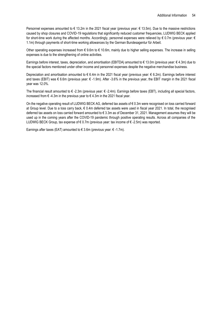Personnel expenses amounted to € 13.2m in the 2021 fiscal year (previous year: € 13.5m). Due to the massive restrictions caused by shop closures and COVID-19 regulations that significantly reduced customer frequencies, LUDWIG BECK applied for short-time work during the affected months. Accordingly, personnel expenses were relieved by € 0.7m (previous year: € 1.1m) through payments of short-time working allowances by the German Bundesagentur für Arbeit.

Other operating expenses increased from € 9.6m to € 10.6m, mainly due to higher selling expenses. The increase in selling expenses is due to the strengthening of online activities.

Earnings before interest, taxes, depreciation, and amortisation (EBITDA) amounted to € 13.0m (previous year: € 4.3m) due to the special factors mentioned under other income and personnel expenses despite the negative merchandise business.

Depreciation and amortisation amounted to € 6.4m in the 2021 fiscal year (previous year: € 6.2m). Earnings before interest and taxes (EBIT) was € 6.6m (previous year: € -1.9m). After -3.6% in the previous year, the EBIT margin in the 2021 fiscal year was 12.0%.

The financial result amounted to € -2.3m (previous year: € -2.4m). Earnings before taxes (EBT), including all special factors, increased from € -4.3m in the previous year to € 4.3m in the 2021 fiscal year.

On the negative operating result of LUDWIG BECK AG, deferred tax assets of € 0.3m were recognised on loss carried forward at Group level. Due to a loss carry back, € 0.4m deferred tax assets were used in fiscal year 2021. In total, the recognised deferred tax assets on loss carried forward amounted to  $\epsilon$  3.3m as of December 31, 2021. Management assumes they will be used up in the coming years after the COVID-19 pandemic through positive operating results. Across all companies of the LUDWIG BECK Group, tax expense of €0.7m (previous year: tax income of €-2.5m) was reported.

Earnings after taxes (EAT) amounted to  $\epsilon$  3.6m (previous vear:  $\epsilon$  -1.7m).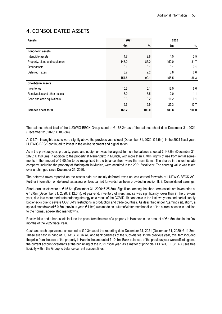## 4. CONSOLIDATED ASSETS

| <b>Assets</b>                  | 2021  |       | 2020  |       |
|--------------------------------|-------|-------|-------|-------|
|                                | €m    | $\%$  | €m    | %     |
| Long-term assets               |       |       |       |       |
| Intangible assets              | 4.7   | 2.8   | 4.5   | 2.5   |
| Property, plant, and equipment | 143.0 | 85.0  | 150.0 | 81.7  |
| Other assets                   | 0.1   | 0.1   | 0.1   | 0.1   |
| Deferred Taxes                 | 3.7   | 2.2   | 3.8   | 2.0   |
|                                | 151.6 | 90.1  | 158.5 | 86.3  |
| <b>Short-term assets</b>       |       |       |       |       |
| Inventories                    | 10.3  | 6.1   | 12.0  | 6.6   |
| Receivables and other assets   | 6.0   | 3.5   | 2.0   | 1.1   |
| Cash and cash equivalents      | 0.3   | 0.2   | 11.2  | 6.1   |
|                                | 16.6  | 9.9   | 25.3  | 13.7  |
| <b>Balance sheet total</b>     | 168.2 | 100.0 | 183.8 | 100.0 |

The balance sheet total of the LUDWIG BECK Group stood at € 168.2m as of the balance sheet date December 31, 2021 (December 31, 2020: € 183.8m).

At € 4.7m intangible assets were slightly above the previous year's level (December 31, 2020: € 4.5m). In the 2021 fiscal year, LUDWIG BECK continued to invest in the online segment and digitalisation.

As in the previous year, property, plant, and equipment was the largest item on the balance sheet at € 143.0m (December 31, 2020: € 150.0m). In addition to the property at Marienplatz in Munich, with more than € 70m, rights of use from rental agreements in the amount of  $\epsilon$  60.5m to be recognised in the balance sheet were the main items. The shares in the real estate company, including the property at Marienplatz in Munich, were acquired in the 2001 fiscal year. The carrying value was taken over unchanged since December 31, 2020.

The deferred taxes reported on the assets side are mainly deferred taxes on loss carried forwards of LUDWIG BECK AG. Further information on deferred tax assets on loss carried forwards has been provided in section II. 3. Consolidated earnings.

Short-term assets were at € 16.6m (December 31, 2020: € 25.3m). Significant among the short-term assets are inventories at € 12.0m (December 31, 2020: € 12.0m). At year-end, inventory of merchandise was significantly lower than in the previous year, due to a more moderate ordering strategy as a result of the COVID-19 pandemic in the last two years and partial supply bottlenecks due to severe COVID-19 restrictions in production and trade countries. As described under "Earnings situation", a special markdown of € 0.7m (previous year: € 1.9m) was made on autumn/winter merchandise of the current season in addition to the normal, age-related markdowns.

Receivables and other assets include the price from the sale of a property in Hanover in the amount of  $\epsilon$  4.5m, due in the first months of the 2022 fiscal year.

Cash and cash equivalents amounted to € 0.3m as of the reporting date December 31, 2021 (December 31, 2020: € 11.2m). These are cash in hand of LUDWIG BECK AG and bank balances of the subsidiaries. In the previous year, this item included the price from the sale of the property in Haar in the amount of € 10.1m. Bank balances of the previous year were offset against the current account overdrafts at the beginning of the 2021 fiscal year. As a matter of principle, LUDWIG BECK AG uses free liquidity within the Group to balance current account lines.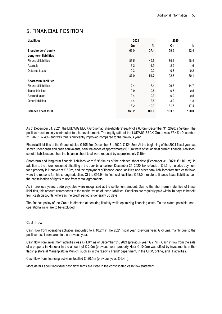## 5. FINANCIAL POSITION

| <b>Liabilities</b>            | 2021  |       | 2020  |       |
|-------------------------------|-------|-------|-------|-------|
|                               | €m    | $\%$  | €m    | $\%$  |
| Shareholders' equity          | 63.0  | 37.4  | 59.6  | 32.4  |
| Long-term liabilities         |       |       |       |       |
| <b>Financial liabilities</b>  | 83.5  | 49.6  | 89.4  | 48.4  |
| Accruals                      | 3.2   | 1.9   | 2.9   | 1.6   |
| Deferred taxes                | 0.3   | 0.2   | 0.3   | 0.2   |
|                               | 87.0  | 51.7  | 92.6  | 50.1  |
| <b>Short-term liabilities</b> |       |       |       |       |
| <b>Financial liabilities</b>  | 12.4  | 7.4   | 26.7  | 14.7  |
| <b>Trade liabilities</b>      | 0.9   | 0.6   | 0.8   | 0.5   |
| Accrued taxes                 | 0.4   | 0.3   | 0.9   | 0.5   |
| Other liabilities             | 4.4   | 2.6   | 3.2   | 1.8   |
|                               | 18.2  | 10.9  | 31.6  | 17.4  |
| <b>Balance sheet total</b>    | 168.2 | 100.0 | 183.8 | 100.0 |

As of December 31, 2021, the LUDWIG BECK Group had shareholders' equity of € 63.0m (December 31, 2020: € 59.6m). The positive result mainly contributed to this development. The equity ratio of the LUDWIG BECK Group was 37.4% (December 31, 2020: 32.4%) and was thus significantly improved compared to the previous year.

Financial liabilities of the Group totalled € 105.2m (December 31, 2020: € 124.2m). At the beginning of the 2021 fiscal year, as shown under cash and cash equivalents, bank balances of approximately € 10m were offset against current financial liabilities, so total liabilities and thus the balance sheet total were reduced by approximately € 10m.

Short-term and long-term financial liabilities were € 95.9m as of the balance sheet date (December 31, 2021: € 116.1m). In addition to the aforementioned offsetting of the bank balance from December 31, 2020, tax refunds of € 1.3m, the price payment for a property in Hanover of € 2.0m, and the repayment of finance lease liabilities and other bank liabilities from free cash flows were the reasons for this strong reduction. Of the €95.9m in financial liabilities, € 63.0m relate to finance lease liabilities, i.e., the capitalisation of rights of use from rental agreements.

As in previous years, trade payables were recognised at the settlement amount. Due to the short-term maturities of these liabilities, this amount corresponds to the market value of these liabilities. Suppliers are regularly paid within 10 days to benefit from cash discounts, whereas the credit period is generally 60 days.

The finance policy of the Group is directed at securing liquidity while optimizing financing costs. To the extent possible, nonoperational risks are to be excluded.

#### Cash flow

Cash flow from operating activities amounted to  $\epsilon$  10.2m in the 2021 fiscal year (previous year:  $\epsilon$  -3.5m), mainly due to the positive result compared to the previous year.

Cash flow from investment activities was  $\epsilon$  -1.0m as of December 31, 2021 (previous year:  $\epsilon$  7.7m). Cash inflow from the sale of a property in Hanover in the amount of  $\epsilon$  2.0m (previous year: property Haar  $\epsilon$  10.0m) was offset by investments in the flagship store at Marienplatz in Munich, such as in the "Lady's Trend" department, in the CRM, online, and IT activities.

Cash flow from financing activities totalled € -20.1m (previous year:  $€ 6.4m$ ).

More details about individual cash flow items are listed in the consolidated cash flow statement.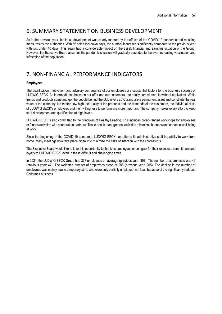### 6. SUMMARY STATEMENT ON BUSINESS DEVELOPMENT

As in the previous year, business development was clearly marked by the effects of the COVID-19 pandemic and resulting measures by the authorities. With 56 sales lockdown days, the number increased significantly compared to the previous year with just under 40 days. This again had a considerable impact on the asset, financial and earnings situation of the Group. However, the Executive Board assumes the pandemic situation will gradually ease due to the ever-increasing vaccination and infestation of the population.

## 7. NON-FINANCIAL PERFORMANCE INDICATORS

#### **Employees**

The qualification, motivation, and advisory competence of our employees are substantial factors for the business success of LUDWIG BECK. As intermediaries between our offer and our customers, their daily commitment is without equivalent. While trends and products come and go, the people behind the LUDWIG BECK brand are a permanent asset and constitute the real value of the company. No matter how high the quality of the products and the demands of the customers, the individual class of LUDWIG BECK's employees and their willingness to perform are more important. The company makes every effort to keep staff development and qualification at high levels.

LUDWIG BECK is also committed to the principles of Healthy Leading. This includes broad-ranged workshops for employees or fitness activities with cooperation partners. These health management activities minimize absences and enhance well-being at work.

Since the beginning of the COVID-19 pandemic, LUDWIG BECK has offered its administrative staff the ability to work from home. Many meetings now take place digitally to minimise the risks of infection with the coronavirus.

The Executive Board would like to take this opportunity to thank its employees once again for their relentless commitment and loyalty to LUDWIG BECK, even in these difficult and challenging times.

In 2021, the LUDWIG BECK Group had 373 employees on average (previous year: 397). The number of apprentices was 46 (previous year: 47). The weighted number of employees stood at 255 (previous year: 265). The decline in the number of employees was mainly due to temporary staff, who were only partially employed, not least because of the significantly reduced Christmas business.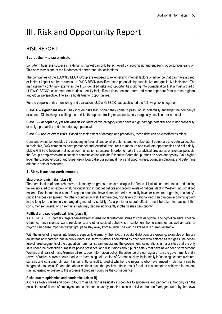# III. Risk and Opportunity Report

## RISK REPORT

#### **Evaluation – a core mission**

Long-term business success in a dynamic market can only be achieved by recognizing and engaging opportunities early on. This necessity is one of the fundamental entrepreneurial obligations.

The companies of the LUDWIG BECK Group are exposed to external and internal factors of influence that can have a direct or indirect impact on the business. LUDWIG BECK classifies these potentials by quantitative and qualitative indicators. The management continually examines the thus identified risks and opportunities, taking into consideration that almost a third of LUDWIG BECK's customers are tourists. Locally insignificant risks become more and more important from a trans-regional and global perspective. The same holds true for opportunities.

For the purpose of risk monitoring and evaluation, LUDWIG BECK has established the following risk categories:

**Class A – significant risks:** They include risks that, should they come to pass, would potentially endanger the company's existence. Diminishing or shifting these risks through controlling measures is only marginally possible – or not at all.

**Class B – acceptable, yet relevant risks:** Risks of this category either have a high damage potential and minor probability, or a high probability and minor damage potential.

**Class C – non-relevant risks:** Based on their extent of damage and probability, these risks can be classified as minor.

Constant evaluation enables the company to forestall and avert problems, and to utilize latent potentials to create value. Due to their size, DAX companies have personnel and technical resources to measure and evaluate opportunities and risks daily. LUDWIG BECK, however, relies on communication structures. In order to make the analytical process as efficient as possible, the Group's employees are in constant communication with the Executive Board that pursues an open door policy. On a higher level, the Executive Board and Supervisory Board discuss potential risks and opportunities, consider solutions, and determine adequate sets of measures.

#### **1. Risks from the environment**

#### **Macro-economic risks (class B)**

The combination of comprehensive reflationary programs, rescue packages for financial institutions and states, and sinking tax receipts led to an exceptional, historical high in budget deficits and record levels of national debt in Western industrialized nations. Developments in some European countries have demonstrated how easily investor concerns regarding a country's public finances can spread into other countries as well. Furthermore, high levels of national debt can dampen economic growth in the long term, ultimately endangering monetary stability. As a partial or overall effect, it must be taken into account that consumer sentiment, which remains high, may decline significantly if other issues gain priority.

#### **Political and socio-political risks (class B)**

As LUDWIG BECK partially targets demand from international customers, it has to consider global, socio-political risks. Political crises, currency slumps, wars, revolutions, and other societal upheavals in customers' home countries, as well as calls for boycott can cause important target groups to stay away from Munich.The war in Ukraine is a current example.

With the influx of refugees into Europe, especially Germany, the risks of societal distortions are growing. Examples of this are an increasingly harsher tone in public discourse, terrorist attacks committed by offenders who entered as refugees, the departure of large segments of the population from mainstream media and the government, celebrations in major cities that are only safe under the protection of massive police presence, and discussions about public safety that have never been so vehement. Worries and fears of many German citizens, poor information policy, the absence of clear signals from the government, and a revival of radical currents could lead to an increasing polarization of German society, incidentally influencing economic circumstances and consumer climate. It is currently difficult to predict whether the migrants who have arrived in Germany can be integrated into social life and the labour markets such that positive effects result for all. If this cannot be achieved in the long run, increasing exposure to the aforementioned risk could be the consequence.

#### **Risks due to epidemics and pandemics (class B)**

A city as highly linked and open to tourism as Munich is basically susceptible to epidemics and pandemics. Not only can the possible risk of illness of employees and customers severely impair business activities, but the fears generated by the news,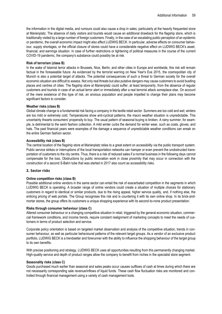the information in the digital media, and rumours could also cause a drop in sales, particularly at the heavily frequented store at Marienplatz. The absence of daily visitors and tourists would cause an additional drawback for the flagship store, which is traditionally visited by a large number of foreign customers. Finally, in the case of an escalating public perception of an epidemic or pandemic, the overall economic impact might also affect LUDWIG BECK. In particular, adverse effects on consumer behaviour, supply shortages, or the official closure of stores could have a considerable negative effect on LUDWIG BECK's asset, financial, and earnings situation. In case of further restrictions or tightening of political measures in the course of the current COVID-19 pandemic, the company's substance could possibly be at risk.

#### **Risk of terrorism (class B)**

In the wake of Islamist terror attacks in Brussels, Nice, Berlin, and other cities in Europe and worldwide, this risk will remain factual in the foreseeable future. As evidenced by the terrorist warning on New Year's Eve 2015, the cosmopolitan city of Munich is also a potential target of attacks. The potential consequences of such a threat to German society for the overall economic situation are difficult to assess. Not only real threats but also putative dangers may cause customers to avoid bustling places and centres of cities. The flagship store at Marienplatz could suffer, at least temporarily, from the absence of regular customers and tourists in case of an actual terror alert or immediately after a real terrorist attack someplace else. On account of the mere existence of this type of risk, an anxious population and people impelled to change their plans may become significant factors to consider.

#### **Weather risks (class B)**

Global climate change is a fundamental risk facing a company in the textile retail sector. Summers are too cold and wet; winters are too mild or extremely cold. Temperatures show anti-cyclical patterns; the macro weather situation is unpredictable. This uncertainty thwarts consumers' propensity to buy. The usual pattern of seasonal buying is broken. A rainy summer, for example, is detrimental to the swim fashion collection. A mild winter curbs the demand for winter wear, such as coats, gloves, and hats. The past financial years were examples of the damage a sequence of unpredictable weather conditions can wreak on the entire German fashion sector.

#### **Accessibility risk (class B)**

The central location of the flagship store at Marienplatz relies to a great extent on accessibility via the public transport system. Public service strikes or interruptions of the local transportation networks can hamper or even prevent the unobstructed transportation of customers to the city centre. Thus, there is a risk of reduced sales if a normal business in the following days cannot compensate for the loss. Obstructions by public renovation work in close proximity that may occur in connection with the construction of a second S-Bahn tube that was started in 2017 also count as accessibility risks.

#### **2. Sector risks**

#### **Online competition risks (class B)**

Possible additional online vendors in the same sector can entail the risk of exacerbated competition in the segments in which LUDWIG BECK is operating. A broader range of online vendors could create a situation of multiple choices for stationary customers in regard to identical or similar products, due to the rising appeal, higher service quality, and, if nothing else, the enticing pricing of web portals. The Group recognises this risk and is countering it with its own online shop. In its brick-andmortar stores, the group offers its customers a unique shopping experience with its second-to-none product presentation.

#### **Risks through consumer behaviour (class C)**

Altered consumer behaviour or a changing competitive situation in retail, triggered by the general economic situation, commercial framework conditions, and income trends, require constant realignment of marketing concepts to meet the needs of customers in terms of product selection and service.

Corporate policy orientation is based on targeted market observation and analysis of the competitive situation, trends in consumer behaviour, as well as particular behavioural patterns of the relevant target groups. As a vendor of an exclusive product portfolio, LUDWIG BECK is a trendsetter and forerunner with the ability to influence the shopping behaviour of the target group to its own benefits.

With precise positioning and strategy, LUDWIG BECK uses all opportunities resulting from this permanently changing market. High-quality service and depth of product ranges allow the company to benefit from niches in the specialist store segment.

#### **Seasonality risks (class C)**

Goods purchased much earlier than seasonal and sales peaks occur causes outflows of cash at times during which there are not necessarily corresponding sale revenue/inflows of liquid funds. These cash flow fluctuation risks are monitored and controlled through financial management using a variety of cash management tools.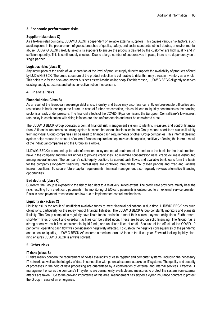#### **3. Economic performance risks**

#### **Supplier risks (class C)**

As a textiles retail company, LUDWIG BECK is dependent on reliable external suppliers. This causes various risk factors, such as disruptions in the procurement of goods, breaches of quality, safety, and social standards, ethical doubts, or environmental abuse. LUDWIG BECK carefully selects its suppliers to ensure the products desired by the customer are high quality and in sufficient quantity. This is continuously checked. Due to a large number of cooperatives in place, there is no dependency on a single partner.

#### **Logistics risks (class B)**

Any interruption of the chain of value creation at the level of product supply directly impacts the availability of products offered by LUDWIG BECK. The broad spectrum of the product selection is vulnerable to risks that may threaten inventory as a whole. This holds true for the brick-and-mortar business as well as the online shop. For this reason, LUDWIG BECK diligently observes existing supply structures and takes corrective action if necessary.

#### **4. Financial risks**

#### **Financial risks (Class B)**

As a result of the European sovereign debt crisis, industry and trade may also face currently unforeseeable difficulties and restrictions in bank lending in the future. In case of further exacerbation, this could lead to liquidity constraints as the banking sector is already under pressure. The financial effects of the COVID-19 pandemic and the European Central Bank's low interest rate policy in combination with rising inflation are also unforeseeable and must be considered a risk.

The LUDWIG BECK Group operates a central financial risk management system to identify, measure, and control financial risks. A financial resources balancing system between the various businesses in the Group means short-term excess liquidity from individual Group companies can be used to finance cash requirements of other Group companies. This internal clearing system helps reduce the amount of external finance required and optimize cash deposits, positively affecting the interest result of the individual companies and the Group as a whole.

LUDWIG BECK's open and up-to-date information policy and equal treatment of all lenders is the basis for the trust creditors have in the company and their willingness to provide credit lines. To minimize concentration risks, credit volume is distributed among several lenders. The company's solid equity position, its current cash flows, and available bank loans form the basis for the company's long-term financing. Interest risks are controlled through the mix of loan periods and fixed and variable interest positions. To secure future capital requirements, financial management also regularly reviews alternative financing opportunities.

#### **Bad debt risk (class C)**

Currently, the Group is exposed to the risk of bad debt to a relatively limited extent. The credit card providers mainly bear the risks resulting from credit card payments. The monitoring of EC-card payments is outsourced to an external service provider. Risks in cash payment transactions are low due to implemented control mechanisms.

#### **Liquidity risk (class C)**

Liquidity risk is the result of insufficient available funds to meet financial obligations in due time. LUDWIG BECK has such obligations, particularly for the repayment of financial liabilities. The LUDWIG BECK Group constantly monitors and plans its liquidity. The Group companies regularly have liquid funds available to meet their current payment obligations. Furthermore, short-term lines of credit and overdraft facilities can be called upon. These are based on solid financing. The Group has a strong operative cash flow, considerable liquid funds, and unutilised lines of credit. Because of the effects of the COVID-19 pandemic, operating cash flow was considerably negatively affected. To cushion the negative consequences of the pandemic and to secure liquidity, LUDWIG BECK AG secured a medium-term LfA loan in the fiscal year. Forward-looking liquidity planning ensures LUDWIG BECK is always solvent.

#### **5. Other risks**

#### **IT risks (class B)**

IT risks mainly concern the requirement of no-fail availability of cash register and computer systems, including the necessary IT network, as well as the integrity of data in connection with potential external attacks on IT systems. The quality and security of processes in the field of data processing are guaranteed by a combination of external and internal services. Effective IT management ensures the company's IT systems are permanently available and measures to protect the system from external attacks are taken. Due to the growing importance of this area, management has signed a cyber insurance contract to protect the Group in case of an emergency.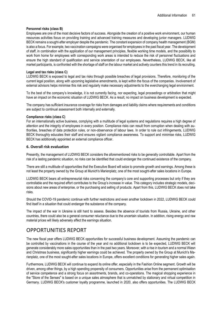#### **Personnel risks (class B)**

Employees are one of the most decisive factors of success. Alongside the creation of a positive work environment, our human resources activities focus on providing training and advanced training measures and developing junior managers. LUDWIG BECK remains a sought-after employer despite the pandemic. The constant expansion of company health management (BGM) is also a focus. For example, two vaccination campaigns were organised for employees in the past fiscal year. The development of staff, in combination with the application of our management principles, flexible working time models, and the possibility to work from home for employees with corresponding work areas is intended to reduce the risk of personnel fluctuations and ensure the high standard of qualification and service orientation of our employees. Nevertheless, LUDWIG BECK, like all market participants, is confronted with the shortage of staff on the labour market and actively counters this trend in its recruiting.

#### **Legal and tax risks (class C)**

LUDWIG BECK is exposed to legal and tax risks through possible breaches of legal provisions. Therefore, monitoring of the current legal position, along with upcoming legislative amendments, is kept within the focus of the companies. Involvement of external advisors helps minimise this risk and regularly make necessary adjustments to the everchanging legal environment.

To the best of the company's knowledge, it is not currently facing, nor expecting, legal proceedings or arbitration that might have an impact on the economic situation of LUDWIG BECK. As a result, no impact on business development is expected.

The company has sufficient insurance coverage for risks from damages and liability claims where requirements and conditions are subject to continual assessment both internally and externally.

#### **Compliance risks (class C)**

For an internationally active business, complying with a multitude of legal systems and regulations requires a high degree of attention and the integrity of employees in every position. Compliance risks can result from corruption when dealing with authorities, breaches of data protection rules, or non-observance of labour laws. In order to rule out infringements, LUDWIG BECK thoroughly educates their staff and ensures vigilant compliance awareness. To support and minimise risks, LUDWIG BECK has additionally appointed an external compliance officer.

#### **6. Overall risk evaluation**

Presently, the management of LUDWIG BECK considers the aforementioned risks to be generally controllable. Apart from the risk of a lasting pandemic situation, no risks can be identified that could endanger the continued existence of the company.

There are still a multitude of opportunities that the Executive Board will seize to promote growth and earnings. Among these is not least the property owned by the Group at Munich's Marienplatz, one of the most sought-after sales locations in Europe.

LUDWIG BECK bears all entrepreneurial risks concerning the company's core and supporting processes but only if they are controllable and the required effort contributes to the Group's increase in value. This category includes strategic models, decisions about new areas of enterprise, or the purchasing and selling of products. Apart from this, LUDWIG BECK does not take risks.

Should the COVID-19 pandemic continue with further restrictions and even another lockdown in 2022, LUDWIG BECK could find itself in a situation that could endanger the substance of the company.

The impact of the war in Ukraine is still hard to assess. Besides the absence of tourists from Russia, Ukraine, and other countries, there could also be a general consumer reluctance due to the uncertain situation. In addition, rising energy and raw material prices will likely adversely affect the earnings situation.

## OPPORTUNITIES REPORT

The new fiscal year offers LUDWIG BECK opportunities for successful business development. Assuming the pandemic can be controlled by vaccinations in the course of the year and no additional lockdown is to be expected, LUDWIG BECK will generate considerably more sales opportunities than in the past two years. Moreover, with a rise in tourism and a normal Wiesn and Christmas business, significantly higher earnings could be achieved. The property owned by the Group at Munich's Marienplatz, one of the most sought-after sales locations in Europe, offers excellent conditions for generating higher sales again.

Furthermore, LUDWIG BECK will continue to expand its online offer, especially in the Fashion Online segment. Growth will be driven, among other things, by a high spending propensity of consumers. Opportunities arise from the permanent optimisation of service competence and a strong focus on assortments, brands, and co-operations. The magical shopping experience in the "Store of the Senses" is based on a unique sales atmosphere that is unmatched by stationary and virtual competition in Germany. LUDWIG BECK's customer loyalty programme, launched in 2020, also offers opportunities. The LUDWIG BECK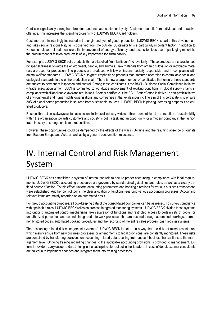Card can significantly strengthen, broaden, and increase customer loyalty. Customers benefit from individual and attractive offerings. This increases the spending propensity of LUDWIG BECK Card holders.

Customers are increasingly interested in the origin and type of goods production. LUDWIG BECK is part of this development and takes social responsibility as is observed from the outside. Sustainability is a particularly important factor. In addition to various employee-related measures, the improvement of energy efficiency, and a conscientious use of packaging materials, the procurement of fashion products is of key importance for sustainability.

For example, LUDWIG BECK sells products that are labelled "zum fairlieben" (to love fairly). These products are characterised by special fairness towards the environment, people, and animals. Raw materials from organic cultivation or recyclable materials are used for production. The products are produced with low emissions, socially responsible, and in compliance with animal welfare standards. LUDWIG BECK puts great emphasis on products manufactured according to controllable social and ecological standards in the entire production chain. There is now a large number of certificates that ensure these standards are subject to permanent inspection and control. Among these certificates is the BSCI - Business Social Compliance Initiative – trade association amfori. BSCI is committed to worldwide improvement of working conditions in global supply chains in compliance with all applicable laws and regulations. Another certificate is the BCI – Better Cotton Initiative - a non-profit initiative of environmental and human rights organisations and companies in the textile industry. The aim of this certificate is to ensure 30% of global cotton production is sourced from sustainable sources. LUDWIG BECK is placing increasing emphasis on certified producers.

Responsible action is always sustainable action. In times of industry-wide cut-throat competition, the perception of sustainability within the organisation towards customers and society is both a task and an opportunity for a modern company in the fashion trade industry to strengthen its market position.

However, these opportunities could be dampened by the effects of the war in Ukraine and the resulting absence of tourists from Eastern Europe and Asia, as well as by a general consumption reluctance.

# IV. Internal Control and Risk Management System

LUDWIG BECK has established a system of internal controls to secure proper accounting in compliance with legal requirements. LUDWIG BECK's accounting procedures are governed by standardized guidelines and rules, as well as a clearly defined course of action. To this effect, uniform accounting parameters and booking directions for various business transactions were established. Another control tool is the clear allocation of functions regarding various accounting processes. Accounting relevant items are mainly recorded on an automated basis.

For Group accounting purposes, all bookkeeping data of the consolidated companies can be assessed. To survey compliance with applicable rules, LUDWIG BECK relies on process-integrated monitoring systems. LUDWIG BECK divided these systems into ongoing automated control mechanisms, like separation of functions and restricted access to certain sets of books for unauthorized personnel, and controls integrated into work processes that are secured through automated bookings, permanently stored codes, automated booking procedures and the recording of the entire sales process (cash register systems).

The accounting-related risk management system of LUDWIG BECK is set up in a way that the risks of misrepresentation, which mainly ensue from new business processes or amendments to legal provisions, are constantly monitored. These risks are contained by transferring decisions on accounting-related data resulting from unusual business transactions to the management level. Ongoing training regarding changes to the applicable accounting provisions is provided to management. External providers carry out up-to-date training in the basic principles set out in the literature. In case of doubt, external consultants are called in to implement changes and integrate them into existing processes.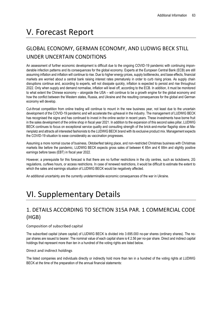# V. Forecast Report

## GLOBAL ECONOMY, GERMAN ECONOMY, AND LUDWIG BECK STILL UNDER UNCERTAIN CONDITIONS

An assessment of further economic development is difficult due to the ongoing COVID-19 pandemic with continuing imponderable infection patterns and its consequences for the global economy. Experts at the European Central Bank (ECB) are still assuming inflation and inflation will continue to rise. Due to higher energy prices, supply bottlenecks, and base effects, financial markets are worried about a central bank raising interest rates prematurely in order to curb rising prices. As supply chain disruptions continue and, according to experts, will not dissipate quickly, inflation is expected to persist and rise throughout 2022. Only when supply and demand normalise, inflation will level off, according to the ECB. In addition, it must be monitored to what extent the Chinese economy – alongside the USA – will continue to be a growth engine for the global economy and how the conflict between the Western states, Russia, and Ukraine and the resulting consequences for the global and German economy will develop.

Cut-throat competition from online trading will continue to mount in the new business year, not least due to the uncertain development of the COVID-19 pandemic and will accelerate the upheaval in the industry. The management of LUDWIG BECK has recognised the signs and has continued to invest in the online sector in recent years. These investments have borne fruit in the sales development of the online shop in fiscal year 2021. In addition to the expansion of this second sales pillar, LUDWIG BECK continues to focus on exceptional service quality and consulting strength of the brick-and-mortar flagship store at Marienplatz and attracts all interested fashionists to the LUDWIG BECK brand with its exclusive product mix. Management expects the COVID-19 situation to ease considerably as vaccination progresses.

Assuming a more normal course of business, Oktoberfest taking place, and non-restricted Christmas business with Christmas markets like before the pandemic, LUDWIG BECK expects gross sales of between € 85m and € 88m and slightly positive earnings before taxes (EBT) in fiscal year 2022.

However, a prerequisite for this forecast is that there are no further restrictions in the city centres, such as lockdowns, 2G regulations, curfews hours, or access restrictions. In case of renewed restrictions, it would be difficult to estimate the extent to which the sales and earnings situation of LUDWIG BECK would be negatively affected.

An additional uncertainty are the currently undeterminable economic consequences of the war in Ukraine.

# VI. Supplementary Details

## 1. DETAILS ACCORDING TO SECTION 315A PAR. 1 COMMERCIAL CODE (HGB)

#### Composition of subscribed capital

The subscribed capital (share capital) of LUDWIG BECK is divided into 3.695.000 no-par shares (ordinary shares). The nopar shares are issued to bearer. The nominal value of each capital share is € 2.56 per no-par share. Direct and indirect capital holdings that represent more than ten in a hundred of the voting rights are listed below.

#### Direct and indirect holdings

The listed companies and individuals directly or indirectly hold more than ten in a hundred of the voting rights at LUDWIG BECK at the time of the preparation of the annual financial statements: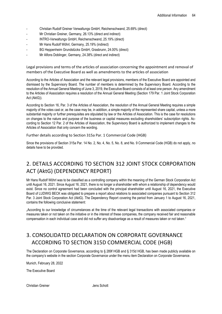- Christian Rudolf Greiner Verwaltungs GmbH, Reichenschwand, 25.69% (direct)
- Mr Christian Greiner, Germany, 26.13% (direct and indirect)
- INTRO-Verwaltungs GmbH, Reichenschwand, 25.19% (direct)
- Mr Hans Rudolf Wöhrl, Germany, 25.19% (indirect)
- BG Heppenheim Grundstücks GmbH, Grasbrunn, 24.00% (direct)
- Mr Alfons Doblinger, Germany, 24.38% (direct and indirect)

Legal provisions and terms of the articles of association concerning the appointment and removal of members of the Executive Board as well as amendments to the articles of association

According to the Articles of Association and the relevant legal provisions, members of the Executive Board are appointed and dismissed by the Supervisory Board. The number of members is determined by the Supervisory Board. According to the resolution of the Annual General Meeting of June 3, 2019, the Executive Board consists of at least one person. Any amendment to the Articles of Association requires a resolution of the Annual General Meeting (Section 179 Par. 1 Joint Stock Corporation Act (AktG)).

According to Section 16, Par. 3 of the Articles of Association, the resolution of the Annual General Meeting requires a simple majority of the votes cast or, as the case may be, in addition, a simple majority of the represented share capital, unless a more substantial majority or further prerequisites are stipulated by law or the Articles of Association. This is the case for resolutions on changes to the nature and purpose of the business or capital measures excluding shareholders' subscription rights. According to Section 12 Par. 2 of the Articles of Association, the Supervisory Board is authorized to implement changes to the Articles of Association that only concern the wording.

Further details according to Section 315a Par. 1 Commercial Code (HGB)

Since the provisions of Section 315a Par. 14 No. 2, No. 4, No. 5, No. 8, and No. 9 Commercial Code (HGB) do not apply, no details have to be provided.

## 2. DETAILS ACCORDING TO SECTION 312 JOINT STOCK CORPORATION ACT (AktG) (DEPENDENCY REPORT)

Mr Hans Rudolf Wöhrl was to be classified as a controlling company within the meaning of the German Stock Corporation Act until August 16, 2021. Since August 16, 2021, there is no longer a shareholder with whom a relationship of dependency would exist. Since no control agreement had been concluded with the principal shareholder until August 16, 2021, the Executive Board of LUDWIG BECK was obligated to prepare a report about relations to associated companies pursuant to Section 312 Par. 3 Joint Stock Corporation Act (AktG). The Dependency Report covering the period from January 1 to August 16, 2021, contains the following conclusive statement:

"According to our knowledge of circumstances at the time of the relevant legal transactions with associated companies or measures taken or not taken on the initiative or in the interest of these companies, the company received fair and reasonable compensation in each individual case and did not suffer any disadvantage as a result of measures taken or not taken."

## 3. CONSOLIDATED DECLARATION ON CORPORATE GOVERNANCE ACCORDING TO SECTION 315D COMMERCIAL CODE (HGB)

The Declaration on Corporate Governance, according to § 289f HGB and § 315d HGB, has been made publicly available on the company's website in the section Corporate Governance under the menu item Declaration on Corporate Governance.

Munich, February 28, 2022

The Executive Board

Christian Greiner **Jens Schott**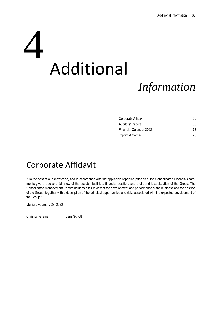# Additional 4

# *Information*

| Corporate Affidavit     | 65 |
|-------------------------|----|
| Auditors' Report        | 66 |
| Financial Calendar 2022 | 73 |
| Imprint & Contact       | 73 |

# Corporate Affidavit

"To the best of our knowledge, and in accordance with the applicable reporting principles, the Consolidated Financial Statements give a true and fair view of the assets, liabilities, financial position, and profit and loss situation of the Group. The Consolidated Management Report includes a fair review of the development and performance of the business and the position of the Group, together with a description of the principal opportunities and risks associated with the expected development of the Group."

Munich, February 28, 2022

Christian Greiner **Jens Schott**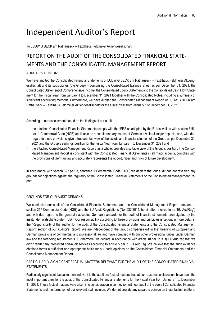# Independent Auditor's Report

To LUDWIG BECK am Rathauseck – Textilhaus Feldmeier Aktiengesellschaft

## REPORT ON THE AUDIT OF THE CONSOLIDATED FINANCIAL STATE-MENTS AND THE CONSOLIDATED MANAGEMENT REPORT

#### AUDITOR'S OPINIONS

We have audited the Consolidated Financial Statements of LUDWIG BECK am Rathauseck – Textilhaus Feldmeier Aktiengesellschaft and its subsidiaries (the Group) – comprising the Consolidated Balance Sheet as per December 31, 2021, the Consolidated Statement of Comprehensive Income, the Consolidated Equity Statement and the Consolidated Cash Flow Statement for the Fiscal Year from January 1 to December 31, 2021 together with the Consolidated Notes, including a summary of significant accounting methods. Furthermore, we have audited the Consolidated Management Report of LUDWIG BECK am Rathauseck – Textilhaus Feldmeier Aktiengesellschaft for the Fiscal Year from January 1 to December 31, 2021.

According to our assessment based on the findings of our audit

- the attached Consolidated Financial Statements comply with the IFRS as adopted by the EU as well as with section 315e par. 1 Commercial Code (HGB) applicable as a supplementary source of German law, in all major aspects, and, with due regard to these provisions, give a true and fair view of the assets and financial situation of the Group as per December 31, 2021 and the Group's earnings position for the Fiscal Year from January 1 to December 31, 2021 and
- the attached Consolidated Management Report, as a whole, provides a suitable view of the Group's position. The Consolidated Management Report is consistent with the Consolidated Financial Statements in all major aspects, complies with the provisions of German law and accurately represents the opportunities and risks of future development.

In accordance with section 322 par. 3, sentence 1 Commercial Code (HGB) we declare that our audit has not revealed any grounds for objections against the regularity of the Consolidated Financial Statements or the Consolidated Management Report.

#### GROUNDS FOR OUR AUDIT OPINIONS

We conducted our audit of the Consolidated Financial Statements and the Consolidated Management Report pursuant to section 317 Commercial Code (HGB) and the EU Audit Regulations (No. 537/2014; hereinafter referred to as "EU AudReg") and with due regard to the generally accepted German standards for the audit of financial statements promulgated by the Institut der Wirtschaftsprüfer (IDW). Our responsibility according to these provisions and principles is set out in more detail in the "Responsibility of the auditor for the audit of the Consolidated Financial Statements and the Consolidated Management Report" section of our Auditor's Report. We are independent of the Group companies within the meaning of European and German provisions of commercial and professional law and have complied with our other professional duties under German law and the foregoing requirements. Furthermore, we declare in accordance with article 10 par. 2 lit. f) EU AudReg that we didn't render any prohibited non-audit services according to article 5 par. 1 EU AudReg. We believe that the audit evidence obtained forms a sufficient and appropriate basis for our audit opinions on the Consolidated Financial Statements and the Consolidated Management Report.

#### PARTICULARLY SIGNIFICANT FACTUAL MATTERS RELEVANT FOR THE AUDIT OF THE CONSOLIDATED FINANCIAL **STATEMENTS**

Particularly significant factual matters relevant to the audit are factual matters that, at our reasonable discretion, have been the most important ones for the audit of the Consolidated Financial Statements for the Fiscal Year from January 1 to December 31, 2021. These factual matters were taken into consideration in connection with our audit of the overall Consolidated Financial Statements and the formation of our relevant audit opinion. We do not provide any separate opinion on these factual matters.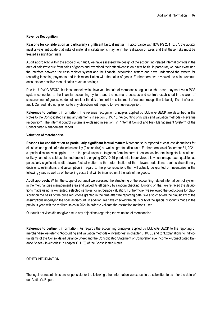#### **Revenue Recognition**

**Reasons for consideration as particularly significant factual matter:** In accordance with IDW PS 261 Tz 67, the auditor must always anticipate that risks of material misstatements may lie in the realisation of sales and that these risks must be treated as significant risks.

**Audit approach:** Within the scope of our audit, we have assessed the design of the accounting-related internal controls in the area of sales/revenue from sales of goods and examined their effectiveness on a test basis. In particular, we have examined the interface between the cash register system and the financial accounting system and have understood the system for recording incoming payments and their reconciliation with the sales of goods. Furthermore, we reviewed the sales revenue accounts for possible manual sales revenue postings.

Due to LUDWIG BECK's business model, which involves the sale of merchandise against cash or card payment via a POS system connected to the financial accounting system, and the internal processes and controls established in the area of sales/revenue of goods, we do not consider the risk of material misstatement of revenue recognition to be significant after our audit. Our audit did not give rise to any objections with regard to revenue recognition.

**Reference to pertinent information:** The revenue recognition principles applied by LUDWIG BECK are described in the Notes to the Consolidated Financial Statements in section B. IV. 13. "Accounting principles and valuation methods - Revenue recognition". The internal control system is explained in section IV. "Internal Control and Risk Management System" of the Consolidated Management Report.

#### **Valuation of merchandise**

**Reasons for consideration as particularly significant factual matter:** Merchandise is reported at cost less deductions for old stock and goods of reduced saleability (fashion risk) as well as granted discounts. Furthermore, as of December 31, 2021, a special discount was applied – as in the previous year - to goods from the current season, as the remaining stocks could not or likely cannot be sold as planned due to the ongoing COVID-19-pandemic. In our view, this valuation approach qualifies as particularly significant, audit-relevant factual matter, as the determination of the relevant deductions requires discretionary decisions, estimations and assumption in regard to the price reductions that will actually be granted on inventories in the following year, as well as of the selling costs that will be incurred until the sale of the goods.

**Audit approach:** Within the scope of our audit we assessed the structuring of the accounting-related internal control system in the merchandise management area and valued its efficiency by random checking. Building on that, we retraced the deductions made using risk-oriented, selected samples for retrograde valuation. Furthermore, we reviewed the deductions for plausibility on the basis of the price reductions granted in the time after the reporting date. We also checked the plausibility of the assumptions underlying the special discount. In addition, we have checked the plausibility of the special discounts made in the previous year with the realised sales in 2021 in order to validate the estimation methods used.

Our audit activities did not give rise to any objections regarding the valuation of merchandise.

**Reference to pertinent information:** As regards the accounting principles applied by LUDWIG BECK to the reporting of merchandise we refer to "Accounting and valuation methods – inventories" in chapter B. IV. 6., and to "Explanations to individual items of the Consolidated Balance Sheet and the Consolidated Statement of Comprehensive Income – Consolidated Balance Sheet – inventories" in chapter C. I. (3) of the Consolidated Notes.

#### OTHER INFORMATION

The legal representatives are responsible for the following other information we expect to be submitted to us after the date of our Auditor's Report: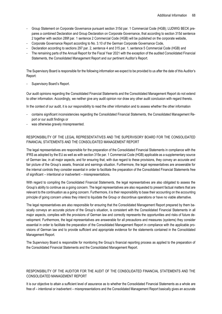- Group Statement on Corporate Governance pursuant section 315d par. 1 Commercial Code (HGB); LUDWIG BECK prepares a combined Declaration and Group Declaration on Corporate Governance, that according to section 315d sentence 2 together with section 289f par. 1 sentence 2 Commercial Code (HGB) will be published on the corporate website,
- Corporate Governance Report according to No. 3.10 of the German Corporate Governance Code,
- Declaration according to sections 297 par. 2, sentence 4 and 315 par. 1, sentence 5 Commercial Code (HGB) and
- The remaining parts of the Annual Report for the Fiscal Year 2021 with the exception of the audited Consolidated Financial Statements, the Consolidated Management Report and our pertinent Auditor's Report.

The Supervisory Board is responsible for the following information we expect to be provided to us after the date of this Auditor's Report:

Supervisory Board's Report.

Our audit opinions regarding the Consolidated Financial Statements and the Consolidated Management Report do not extend to other information. Accordingly, we neither give any audit opinion nor draw any other audit conclusion with regard thereto.

In the context of our audit, it is our responsibility to read the other information and to assess whether the other information

- contains significant inconsistencies regarding the Consolidated Financial Statements, the Consolidated Management Report or our audit findings or
- was otherwise gravely misrepresented.

#### RESPONSIBILITY OF THE LEGAL REPRESENTATIVES AND THE SUPERVISORY BOARD FOR THE CONSOLIDATED FINANCIAL STATEMENTS AND THE CONSOLIDATED MANAGEMENT REPORT

The legal representatives are responsible for the preparation of the Consolidated Financial Statements in compliance with the IFRS as adopted by the EU as well as with section 315e par. 1 Commercial Code (HGB) applicable as a supplementary source of German law, in all major aspects, and for ensuring that, with due regard to these provisions, they convey an accurate and fair picture of the Group's assets, financial and earnings situation. Furthermore, the legal representatives are answerable for the internal controls they consider essential in order to facilitate the preparation of the Consolidated Financial Statements free of significant – intentional or inadvertent – misrepresentations.

With regard to compiling the Consolidated Financial Statements, the legal representatives are also obligated to assess the Group's ability to continue as a going concern. The legal representatives are also requested to present factual matters that are relevant to the continuation as a going concern. Furthermore, it is their responsibility to base their accounting on the accounting principle of going concern unless they intend to liquidate the Group or discontinue operations or have no viable alternative.

The legal representatives are also responsible for ensuring that the Consolidated Management Report prepared by them basically conveys an accurate picture of the Group's situation, is consistent with the Consolidated Financial Statements in all major aspects, complies with the provisions of German law and correctly represents the opportunities and risks of future development. Furthermore, the legal representatives are answerable for all precautions and measures (systems) they consider essential in order to facilitate the preparation of the Consolidated Management Report in compliance with the applicable provisions of German law and to provide sufficient and appropriate evidence for the statements contained in the Consolidated Management Report.

The Supervisory Board is responsible for monitoring the Group's financial reporting process as applied to the preparation of the Consolidated Financial Statements and the Consolidated Management Report.

#### RESPONSIBILITY OF THE AUDITOR FOR THE AUDIT OF THE CONSOLIDATED FINANCIAL STATEMENTS AND THE CONSOLIDATED MANAGEMENT REPORT

It is our objective to attain a sufficient level of assurance as to whether the Consolidated Financial Statements as a whole are free of – intentional or inadvertent – misrepresentations and the Consolidated Management Report basically gives an accurate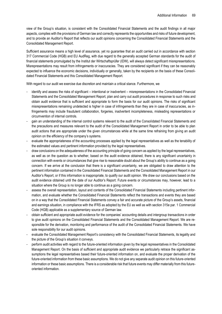view of the Group's situation, is consistent with the Consolidated Financial Statements and the audit findings in all major aspects, complies with the provisions of German law and correctly represents the opportunities and risks of future development, and to provide an Auditor's Report that reflects our audit opinions concerning the Consolidated Financial Statements and the Consolidated Management Report.

Sufficient assurance means a high level of assurance, yet no guarantee that an audit carried out in accordance with section 317 Commercial Code (HGB) and EU AudReg, with due regard to the generally accepted German standards for the audit of financial statements promulgated by the Institut der Wirtschaftsprüfer (IDW), will always detect significant misrepresentations. Misrepresentations may result from infringements or inaccuracies. They are considered significant if they can be reasonably expected to influence the economic decisions, individually or generally, taken by the recipients on the basis of these Consolidated Financial Statements and this Consolidated Management Report.

With regard to our audit we exercise due discretion and maintain a critical stance. Furthermore, we

- identify and assess the risks of significant intentional or inadvertent misrepresentations in the Consolidated Financial Statements and the Consolidated Management Report, plan and carry out audit procedures in response to such risks and obtain audit evidence that is sufficient and appropriate to form the basis for our audit opinions. The risks of significant misrepresentations remaining undetected is higher in case of infringements than they are in case of inaccuracies, as infringements may include fraudulent collaboration, forgeries, inadvertent incompleteness, misleading representations or circumvention of internal controls.
- gain an understanding of the internal control systems relevant to the audit of the Consolidated Financial Statements and the precautions and measures relevant to the audit of the Consolidated Management Report in order to be able to plan audit actions that are appropriate under the given circumstances while at the same time refraining from giving an audit opinion on the efficiency of the company's systems.
- evaluate the appropriateness of the accounting processes applied by the legal representatives as well as the tenability of the estimated values and pertinent information provided by the legal representatives.
- draw conclusions on the adequateness of the accounting principle of going concern as applied by the legal representatives, as well as on the question as to whether, based on the audit evidence obtained, there is any significant uncertainty in connection with events or circumstances that give rise to reasonable doubt about the Group's ability to continue as a going concern. If we arrive at the conclusion that there is a significant uncertainty, we are obligated to draw attention to the pertinent information contained in the Consolidated Financial Statements and the Consolidated Management Report in our Auditor's Report, or if this information is inappropriate, to qualify our audit opinion. We draw our conclusions based on the audit evidence obtained until the date of our Auditor's Report. Future events or circumstances may, however, lead to a situation where the Group is no longer able to continue as a going concern.
- assess the overall representation, layout and contents of the Consolidated Financial Statements including pertinent information, and evaluate whether the Consolidated Financial Statements reflect the transactions and events they are based on in a way that the Consolidated Financial Statements convey a fair and accurate picture of the Group's assets, financial and earnings situation, in compliance with the IFRS as adopted by the EU as well as with section 315e par. 1 Commercial Code (HGB) applicable as a supplementary source of German law.
- obtain sufficient and appropriate audit evidence for the companies' accounting details and intergroup transactions in order to give audit opinions on the Consolidated Financial Statements and the Consolidated Management Report. We are responsible for the derivation, monitoring and performance of the audit of the Consolidated Financial Statements. We have sole responsibility for our audit opinions.
- evaluate the Consolidated Management Report's consistency with the Consolidated Financial Statements, its legality and the picture of the Group's situation it conveys.
- perform audit activities with regard to the future-oriented information given by the legal representatives in the Consolidated Management Report. On the basis of sufficient and appropriate audit evidence we particularly retrace the significant assumptions the legal representatives based their future-oriented information on, and evaluate the proper derivation of the future-oriented information from these basic assumptions. We do not give any separate audit opinion on this future-oriented information or these basic assumptions. There is a considerable risk that future events may differ materially from this futureoriented information.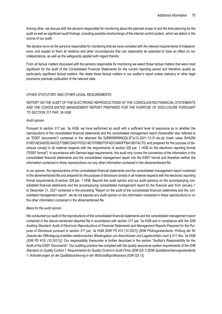Among other, we discuss with the persons responsible for monitoring about the planned scope of and the time planning for the audit as well as significant audit findings, including possible shortcomings of the internal control system, which we detect in the course of our audit.

We declare vis-à-vis the persons responsible for monitoring that we have complied with the relevant requirements of independence, and explain to them all relations and other circumstances that can reasonably be expected to have an effect on our independence, as well as the safeguards applied with regard thereto.

From all factual matters discussed with the persons responsible for monitoring we select those factual matters that were most significant for the audit of the Consolidated Financial Statements for the current reporting period and therefore qualify as particularly significant factual matters. We relate these factual matters in our auditor's report unless statutory or other legal provisions preclude publication of the relevant data.

#### OTHER STATUTORY AND OTHER LEGAL REQUIREMENTS

*REPORT ON THE AUDIT OF THE ELECTRONIC REPRODUCTIONS OF THE CONSOLIDATED FINANCIAL STATEMENTS AND THE CONSOLIDATED MANAGEMENT REPORT PREPARED FOR THE PURPOSE OF DISCLOSURE PURSUANT TO SECTION 317 PAR. 3A HGB*

#### *Audit opinion*

Pursuant to section 317 par. 3a HGB, we have performed an audit with a sufficient level of assurance as to whether the reproductions of the consolidated financial statements and the consolidated management report (hereinafter also referred to as "ESEF documents") contained in the attached file 5299008RI8NGQL3F3J12-2021-12-31-de.zip (hash value SHA256 610EFAE5A935C4A032775B6CDAD1FE5214E70788B7F5FADC0460FFBA16D7AC70) and prepared for the purpose of disclosure comply in all material respects with the requirements of section 328 par. 1 HGB on the electronic reporting format ("ESEF format"). In accordance with German legal requirements, this audit only covers the conversion of the information in the consolidated financial statements and the consolidated management report into the ESEF format and therefore neither the information contained in these reproductions nor any other information contained in the aforementioned file.

In our opinion, the reproductions of the consolidated financial statements and the consolidated management report contained in the aforementioned file and prepared for the purpose of disclosure comply in all material respects with the electronic reporting format requirements of section 328 par. 1 HGB. Beyond this audit opinion and our audit opinions on the accompanying consolidated financial statements and the accompanying consolidated management report for the financial year from January 1 to December 31, 2021 contained in the preceding "Report on the audit of the consolidated financial statements and the consolidated management report", we do not express any audit opinion on the information contained in these reproductions or on the other information contained in the aforementioned file.

#### *Basis for the audit opinion*

We conducted our audit of the reproductions of the consolidated financial statements and the consolidated management report contained in the above-mentioned attached file in accordance with section 317 par. 3a HGB and in compliance with the *IDW Auditing Standard: Audit of Electronic Reproductions of Financial Statements and Management Reports Prepared for the Purpose of Disclosure pursuant to section 317 par. 3a HGB (IDW PS 410 (10.2021)) [IDW Prüfungsstandards: Prüfung der für Zwecke der Offenlegung erstellten elektronischen Wiedergaben von Abschlüssen und Lageberichten nach § 317 Abs. 3a HGB (IDW PS 410) (10.2021))].* Our responsibility thereunder is further described in the section "Auditor's Responsibility for the Audit of the ESEF Documents". Our auditing practice has complied with the quality assurance system requirements of the *IDW Standard on Quality Control 1: Requirements for Quality Control in Audit Firms (IDW QS 1) [IDW Qualitätssicherungsstandards 1: Anforderungen an die Qualitätssicherung in der Wirtschaftsprüferpraxis (IDW QS 1)].*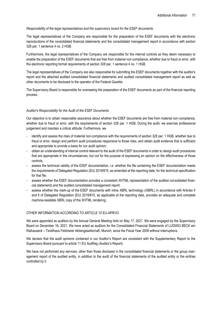#### *Responsibility of the legal representatives and the supervisory board for the ESEF documents*

The legal representatives of the Company are responsible for the preparation of the ESEF documents with the electronic reproductions of the consolidated financial statements and the consolidated management report in accordance with section 328 par. 1 sentence 4 no. 2 HGB.

Furthermore, the legal representatives of the Company are responsible for the internal controls as they deem necessary to enable the preparation of the ESEF documents that are free from material non-compliance, whether due to fraud or error, with the electronic reporting format requirements of section 328 par. 1 sentence 4 no. 1 HGB.

The legal representatives of the Company are also responsible for submitting the ESEF documents together with the auditor's report and the attached audited consolidated financial statements and audited consolidated management report as well as other documents to be disclosed to the operator of the Federal Gazette.

The Supervisory Board is responsible for overseeing the preparation of the ESEF documents as part of the financial reporting process.

#### *Auditor's Responsibility for the Audit of the ESEF Documents*

Our objective is to obtain reasonable assurance about whether the ESEF documents are free from material non-compliance, whether due to fraud or error, with the requirements of section 328 par. 1 HGB. During the audit, we exercise professional judgement and maintain a critical attitude. Furthermore, we

- identify and assess the risks of material non-compliance with the requirements of section 328 par. 1 HGB, whether due to fraud or error, design and perform audit procedures responsive to those risks, and obtain audit evidence that is sufficient and appropriate to provide a basis for our audit opinion;
- obtain an understanding of internal control relevant to the audit of the ESEF documents in order to design audit procedures that are appropriate in the circumstances, but not for the purpose of expressing an opinion on the effectiveness of those controls;
- assess the technical validity of the ESEF documentation, i.e. whether the file containing the ESEF documentation meets the requirements of Delegated Regulation (EU) 2019/815, as amended at the reporting date, for the technical specification for that file;
- assess whether the ESEF documentation provides a consistent XHTML representation of the audited consolidated financial statements and the audited consolidated management report;
- assess whether the mark-up of the ESEF documents with inline XBRL technology (iXBRL) in accordance with Articles 4 and 6 of Delegated Regulation (EU) 2019/815, as applicable at the reporting date, provides an adequate and complete machine-readable XBRL copy of the XHTML rendering.

#### OTHER INFORMATION ACCORDING TO ARTICLE 10 EU-APRVO

We were appointed as auditors by the Annual General Meeting held on May 17, 2021. We were engaged by the Supervisory Board on December 16, 2021. We have acted as auditors for the Consolidated Financial Statements of LUDWIG BECK am Rathauseck – Textilhaus Feldmeier Aktiengesellschaft, Munich, since the Fiscal Year 2009 without interruptions.

We declare that the audit opinions contained in our Auditor's Report are consistent with the Supplementary Report to the Supervisory Board pursuant to article 11 EU AudReg (Auditor's Report).

We have not performed any services, other than those disclosed in the consolidated financial statements or the group management report of the audited entity, in addition to the audit of the financial statements of the audited entity or the entities controlled by it.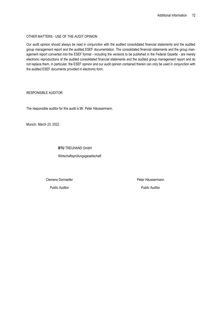#### OTHER MATTERS - USE OF THE AUDIT OPINION

Our audit opinion should always be read in conjunction with the audited consolidated financial statements and the audited group management report and the audited ESEF documentation. The consolidated financial statements and the group management report converted into the ESEF format - including the versions to be published in the Federal Gazette - are merely electronic reproductions of the audited consolidated financial statements and the audited group management report and do not replace them. In particular, the ESEF opinion and our audit opinion contained therein can only be used in conjunction with the audited ESEF documents provided in electronic form.

#### RESPONSIBLE AUDITOR

The responsible auditor for this audit is Mr. Peter Häussermann.

Munich, March 23, 2022

#### **BTU** TREUHAND GmbH

Wirtschaftsprüfungsgesellschaft

Clemens Dornseifer

Public Auditor

Peter Häussermann

Public Auditor